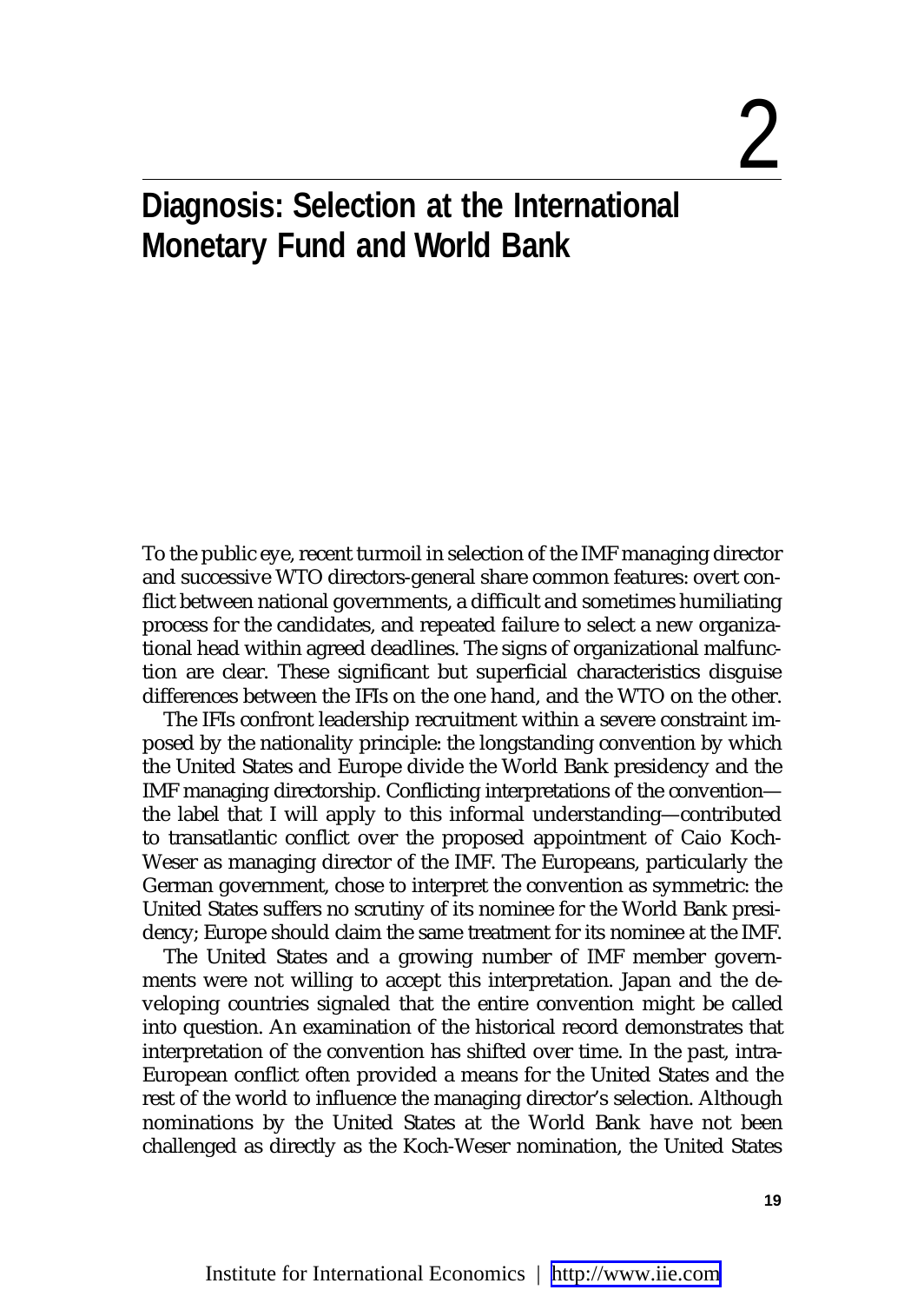# 2

## **Diagnosis: Selection at the International Monetary Fund and World Bank**

To the public eye, recent turmoil in selection of the IMF managing director and successive WTO directors-general share common features: overt conflict between national governments, a difficult and sometimes humiliating process for the candidates, and repeated failure to select a new organizational head within agreed deadlines. The signs of organizational malfunction are clear. These significant but superficial characteristics disguise differences between the IFIs on the one hand, and the WTO on the other.

The IFIs confront leadership recruitment within a severe constraint imposed by the nationality principle: the longstanding convention by which the United States and Europe divide the World Bank presidency and the IMF managing directorship. Conflicting interpretations of the convention the label that I will apply to this informal understanding—contributed to transatlantic conflict over the proposed appointment of Caio Koch-Weser as managing director of the IMF. The Europeans, particularly the German government, chose to interpret the convention as symmetric: the United States suffers no scrutiny of its nominee for the World Bank presidency; Europe should claim the same treatment for its nominee at the IMF.

The United States and a growing number of IMF member governments were not willing to accept this interpretation. Japan and the developing countries signaled that the entire convention might be called into question. An examination of the historical record demonstrates that interpretation of the convention has shifted over time. In the past, intra-European conflict often provided a means for the United States and the rest of the world to influence the managing director's selection. Although nominations by the United States at the World Bank have not been challenged as directly as the Koch-Weser nomination, the United States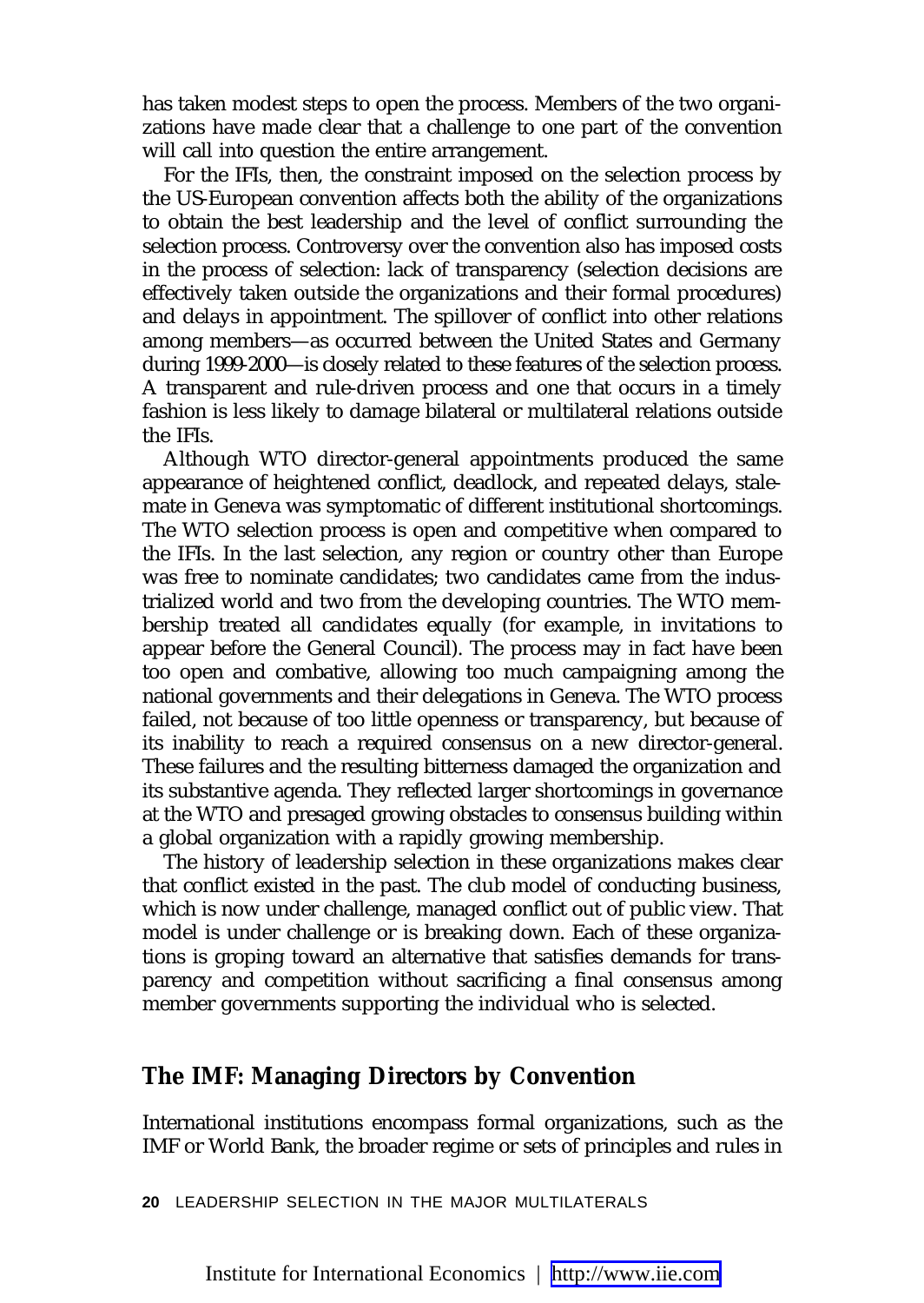has taken modest steps to open the process. Members of the two organizations have made clear that a challenge to one part of the convention will call into question the entire arrangement.

For the IFIs, then, the constraint imposed on the selection process by the US-European convention affects both the ability of the organizations to obtain the best leadership and the level of conflict surrounding the selection process. Controversy over the convention also has imposed costs in the process of selection: lack of transparency (selection decisions are effectively taken outside the organizations and their formal procedures) and delays in appointment. The spillover of conflict into other relations among members—as occurred between the United States and Germany during 1999-2000—is closely related to these features of the selection process. A transparent and rule-driven process and one that occurs in a timely fashion is less likely to damage bilateral or multilateral relations outside the IFIs.

Although WTO director-general appointments produced the same appearance of heightened conflict, deadlock, and repeated delays, stalemate in Geneva was symptomatic of different institutional shortcomings. The WTO selection process is open and competitive when compared to the IFIs. In the last selection, any region or country other than Europe was free to nominate candidates; two candidates came from the industrialized world and two from the developing countries. The WTO membership treated all candidates equally (for example, in invitations to appear before the General Council). The process may in fact have been too open and combative, allowing too much campaigning among the national governments and their delegations in Geneva. The WTO process failed, not because of too little openness or transparency, but because of its inability to reach a required consensus on a new director-general. These failures and the resulting bitterness damaged the organization and its substantive agenda. They reflected larger shortcomings in governance at the WTO and presaged growing obstacles to consensus building within a global organization with a rapidly growing membership.

The history of leadership selection in these organizations makes clear that conflict existed in the past. The club model of conducting business, which is now under challenge, managed conflict out of public view. That model is under challenge or is breaking down. Each of these organizations is groping toward an alternative that satisfies demands for transparency and competition without sacrificing a final consensus among member governments supporting the individual who is selected.

#### **The IMF: Managing Directors by Convention**

International institutions encompass formal organizations, such as the IMF or World Bank, the broader regime or sets of principles and rules in

**20** LEADERSHIP SELECTION IN THE MAJOR MULTILATERALS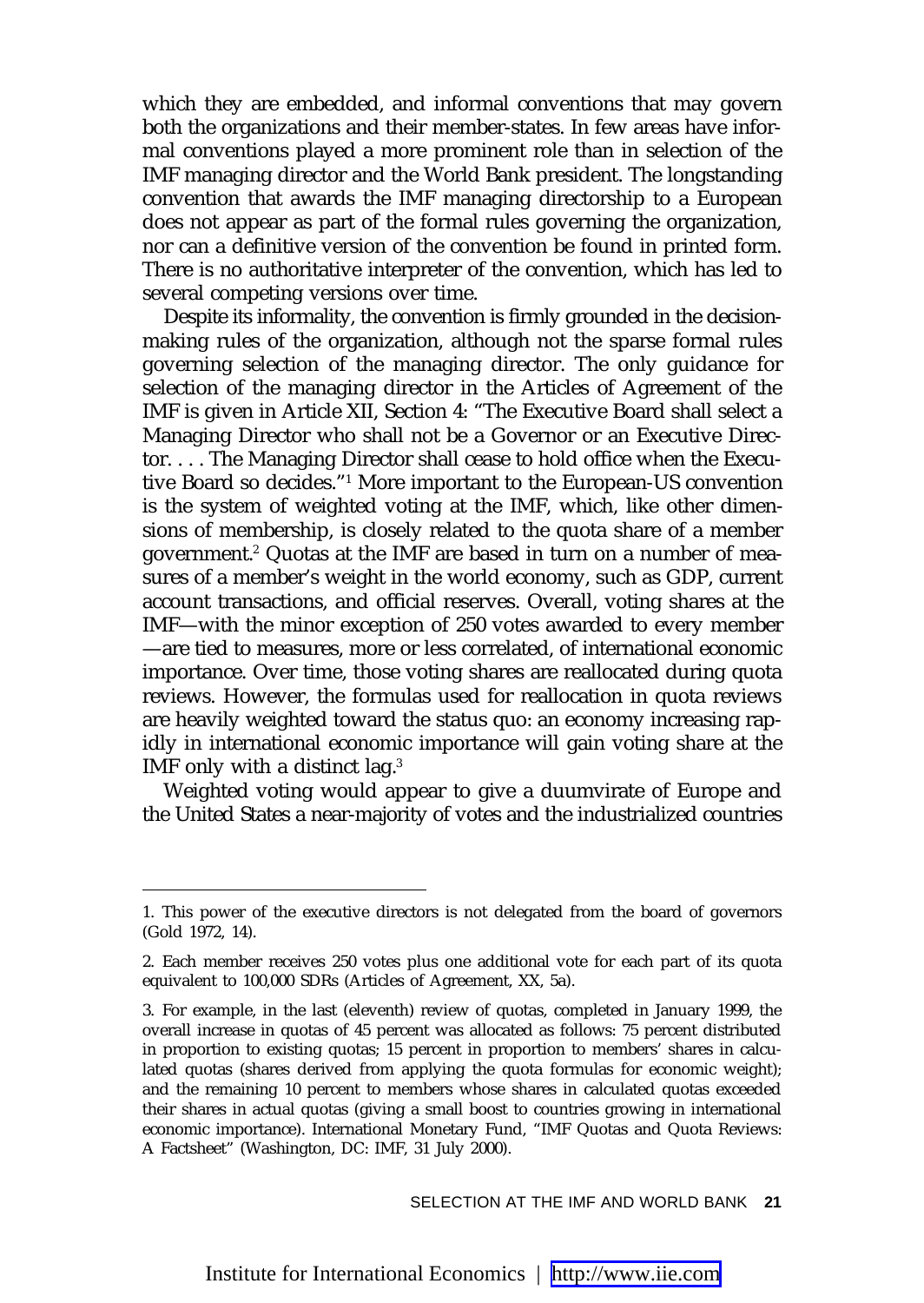which they are embedded, and informal conventions that may govern both the organizations and their member-states. In few areas have informal conventions played a more prominent role than in selection of the IMF managing director and the World Bank president. The longstanding convention that awards the IMF managing directorship to a European does not appear as part of the formal rules governing the organization, nor can a definitive version of the convention be found in printed form. There is no authoritative interpreter of the convention, which has led to several competing versions over time.

Despite its informality, the convention is firmly grounded in the decisionmaking rules of the organization, although not the sparse formal rules governing selection of the managing director. The only guidance for selection of the managing director in the Articles of Agreement of the IMF is given in Article XII, Section 4: "The Executive Board shall select a Managing Director who shall not be a Governor or an Executive Director. . . . The Managing Director shall cease to hold office when the Executive Board so decides."1 More important to the European-US convention is the system of weighted voting at the IMF, which, like other dimensions of membership, is closely related to the quota share of a member government.2 Quotas at the IMF are based in turn on a number of measures of a member's weight in the world economy, such as GDP, current account transactions, and official reserves. Overall, voting shares at the IMF—with the minor exception of 250 votes awarded to every member —are tied to measures, more or less correlated, of international economic importance. Over time, those voting shares are reallocated during quota reviews. However, the formulas used for reallocation in quota reviews are heavily weighted toward the status quo: an economy increasing rapidly in international economic importance will gain voting share at the IMF only with a distinct lag.<sup>3</sup>

Weighted voting would appear to give a duumvirate of Europe and the United States a near-majority of votes and the industrialized countries

<sup>1.</sup> This power of the executive directors is not delegated from the board of governors (Gold 1972, 14).

<sup>2.</sup> Each member receives 250 votes plus one additional vote for each part of its quota equivalent to 100,000 SDRs (Articles of Agreement, XX, 5a).

<sup>3.</sup> For example, in the last (eleventh) review of quotas, completed in January 1999, the overall increase in quotas of 45 percent was allocated as follows: 75 percent distributed in proportion to existing quotas; 15 percent in proportion to members' shares in calculated quotas (shares derived from applying the quota formulas for economic weight); and the remaining 10 percent to members whose shares in calculated quotas exceeded their shares in actual quotas (giving a small boost to countries growing in international economic importance). International Monetary Fund, "IMF Quotas and Quota Reviews: A Factsheet" (Washington, DC: IMF, 31 July 2000).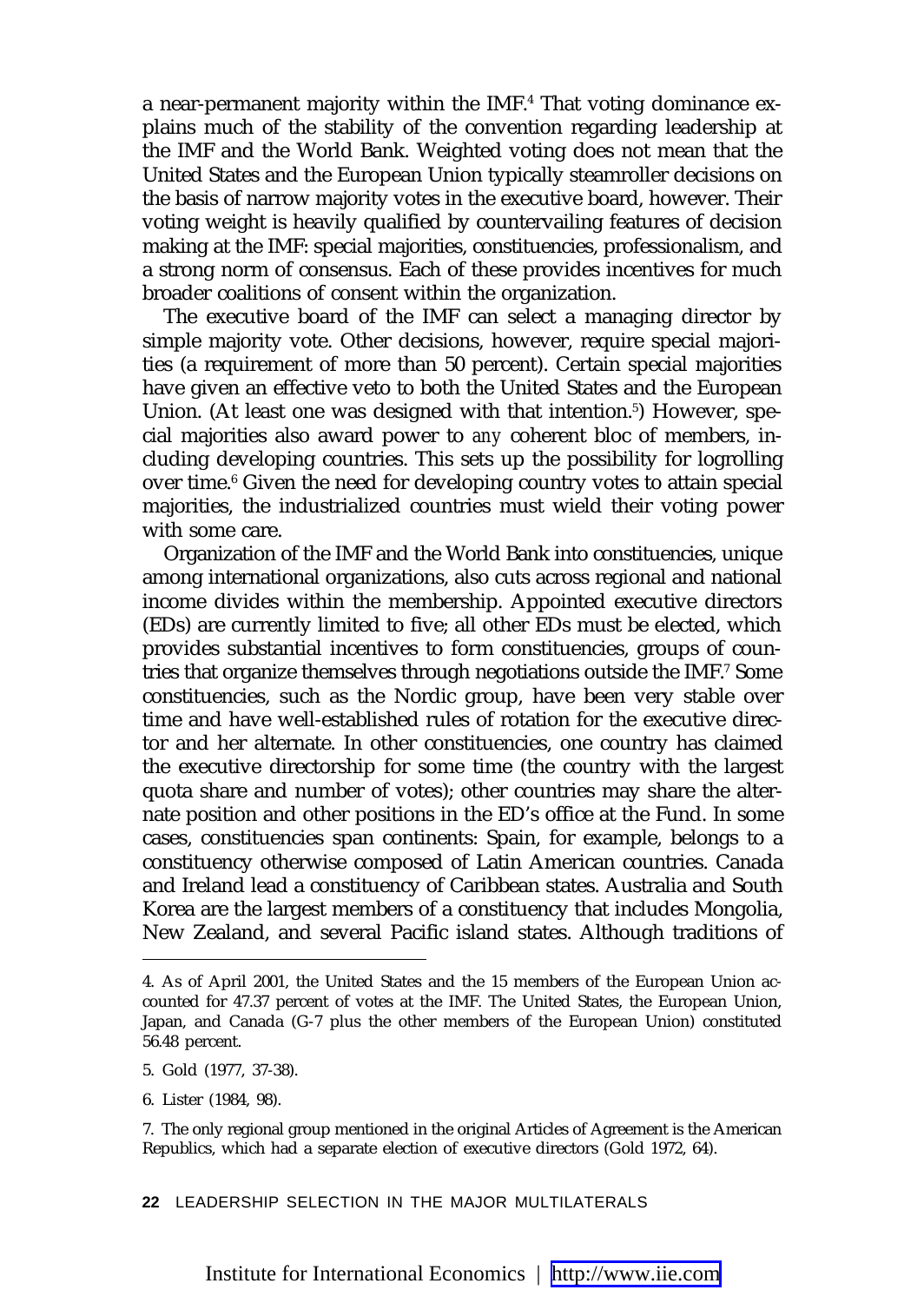a near-permanent majority within the IMF.4 That voting dominance explains much of the stability of the convention regarding leadership at the IMF and the World Bank. Weighted voting does not mean that the United States and the European Union typically steamroller decisions on the basis of narrow majority votes in the executive board, however. Their voting weight is heavily qualified by countervailing features of decision making at the IMF: special majorities, constituencies, professionalism, and a strong norm of consensus. Each of these provides incentives for much broader coalitions of consent within the organization.

The executive board of the IMF can select a managing director by simple majority vote. Other decisions, however, require special majorities (a requirement of more than 50 percent). Certain special majorities have given an effective veto to both the United States and the European Union. (At least one was designed with that intention.<sup>5</sup>) However, special majorities also award power to *any* coherent bloc of members, including developing countries. This sets up the possibility for logrolling over time.<sup>6</sup> Given the need for developing country votes to attain special majorities, the industrialized countries must wield their voting power with some care.

Organization of the IMF and the World Bank into constituencies, unique among international organizations, also cuts across regional and national income divides within the membership. Appointed executive directors (EDs) are currently limited to five; all other EDs must be elected, which provides substantial incentives to form constituencies, groups of countries that organize themselves through negotiations outside the IMF.<sup>7</sup> Some constituencies, such as the Nordic group, have been very stable over time and have well-established rules of rotation for the executive director and her alternate. In other constituencies, one country has claimed the executive directorship for some time (the country with the largest quota share and number of votes); other countries may share the alternate position and other positions in the ED's office at the Fund. In some cases, constituencies span continents: Spain, for example, belongs to a constituency otherwise composed of Latin American countries. Canada and Ireland lead a constituency of Caribbean states. Australia and South Korea are the largest members of a constituency that includes Mongolia, New Zealand, and several Pacific island states. Although traditions of

6. Lister (1984, 98).

**22** LEADERSHIP SELECTION IN THE MAJOR MULTILATERALS

<sup>4.</sup> As of April 2001, the United States and the 15 members of the European Union accounted for 47.37 percent of votes at the IMF. The United States, the European Union, Japan, and Canada (G-7 plus the other members of the European Union) constituted 56.48 percent.

<sup>5.</sup> Gold (1977, 37-38).

<sup>7.</sup> The only regional group mentioned in the original Articles of Agreement is the American Republics, which had a separate election of executive directors (Gold 1972, 64).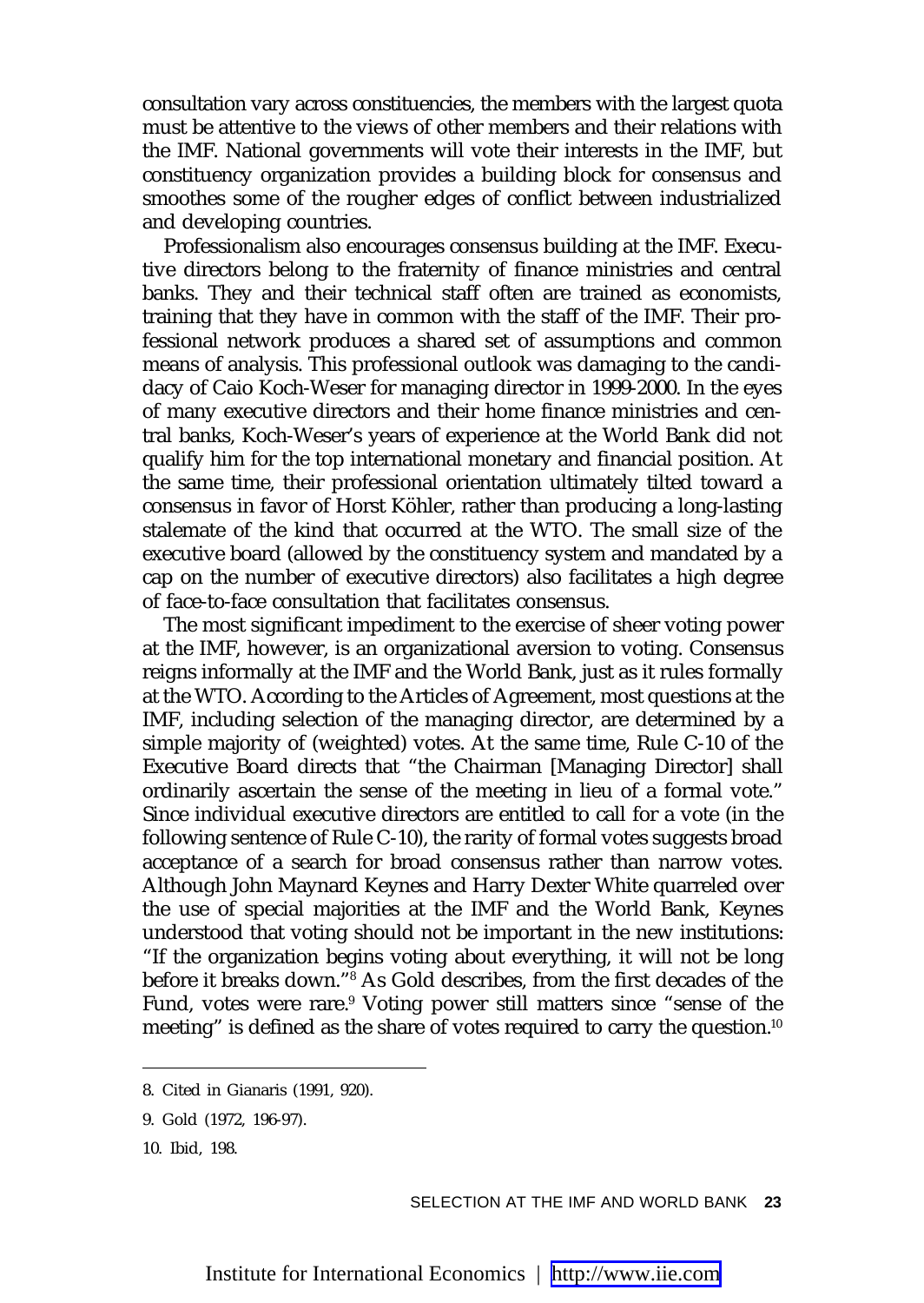consultation vary across constituencies, the members with the largest quota must be attentive to the views of other members and their relations with the IMF. National governments will vote their interests in the IMF, but constituency organization provides a building block for consensus and smoothes some of the rougher edges of conflict between industrialized and developing countries.

Professionalism also encourages consensus building at the IMF. Executive directors belong to the fraternity of finance ministries and central banks. They and their technical staff often are trained as economists, training that they have in common with the staff of the IMF. Their professional network produces a shared set of assumptions and common means of analysis. This professional outlook was damaging to the candidacy of Caio Koch-Weser for managing director in 1999-2000. In the eyes of many executive directors and their home finance ministries and central banks, Koch-Weser's years of experience at the World Bank did not qualify him for the top international monetary and financial position. At the same time, their professional orientation ultimately tilted toward a consensus in favor of Horst Köhler, rather than producing a long-lasting stalemate of the kind that occurred at the WTO. The small size of the executive board (allowed by the constituency system and mandated by a cap on the number of executive directors) also facilitates a high degree of face-to-face consultation that facilitates consensus.

The most significant impediment to the exercise of sheer voting power at the IMF, however, is an organizational aversion to voting. Consensus reigns informally at the IMF and the World Bank, just as it rules formally at the WTO. According to the Articles of Agreement, most questions at the IMF, including selection of the managing director, are determined by a simple majority of (weighted) votes. At the same time, Rule C-10 of the Executive Board directs that "the Chairman [Managing Director] shall ordinarily ascertain the sense of the meeting in lieu of a formal vote." Since individual executive directors are entitled to call for a vote (in the following sentence of Rule C-10), the rarity of formal votes suggests broad acceptance of a search for broad consensus rather than narrow votes. Although John Maynard Keynes and Harry Dexter White quarreled over the use of special majorities at the IMF and the World Bank, Keynes understood that voting should not be important in the new institutions: "If the organization begins voting about everything, it will not be long before it breaks down."8 As Gold describes, from the first decades of the Fund, votes were rare.<sup>9</sup> Voting power still matters since "sense of the meeting" is defined as the share of votes required to carry the question.<sup>10</sup>

SELECTION AT THE IMF AND WORLD BANK **23**

<sup>8.</sup> Cited in Gianaris (1991, 920).

<sup>9.</sup> Gold (1972, 196-97).

<sup>10.</sup> Ibid, 198.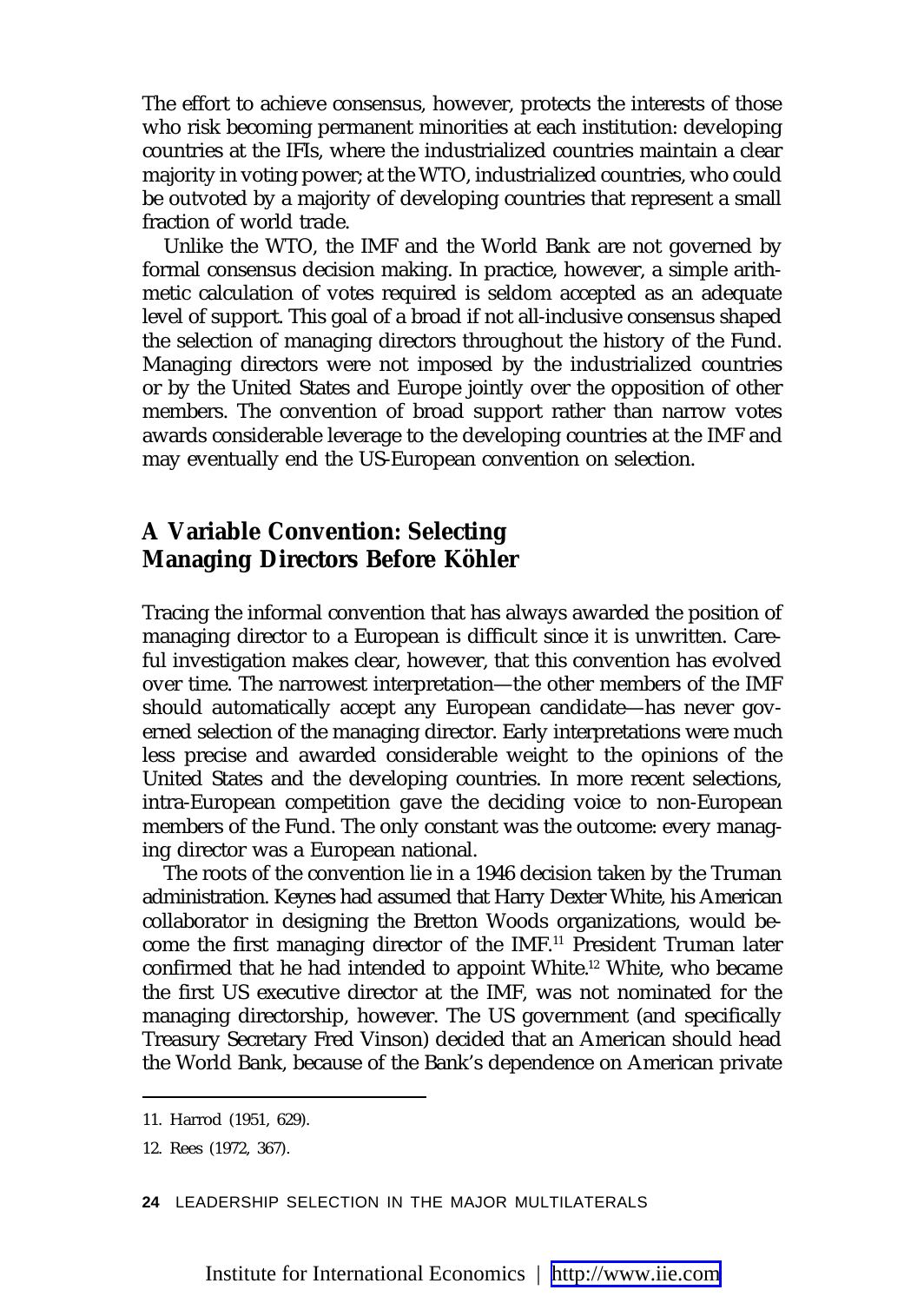The effort to achieve consensus, however, protects the interests of those who risk becoming permanent minorities at each institution: developing countries at the IFIs, where the industrialized countries maintain a clear majority in voting power; at the WTO, industrialized countries, who could be outvoted by a majority of developing countries that represent a small fraction of world trade.

Unlike the WTO, the IMF and the World Bank are not governed by formal consensus decision making. In practice, however, a simple arithmetic calculation of votes required is seldom accepted as an adequate level of support. This goal of a broad if not all-inclusive consensus shaped the selection of managing directors throughout the history of the Fund. Managing directors were not imposed by the industrialized countries or by the United States and Europe jointly over the opposition of other members. The convention of broad support rather than narrow votes awards considerable leverage to the developing countries at the IMF and may eventually end the US-European convention on selection.

#### **A Variable Convention: Selecting Managing Directors Before Köhler**

Tracing the informal convention that has always awarded the position of managing director to a European is difficult since it is unwritten. Careful investigation makes clear, however, that this convention has evolved over time. The narrowest interpretation—the other members of the IMF should automatically accept any European candidate—has never governed selection of the managing director. Early interpretations were much less precise and awarded considerable weight to the opinions of the United States and the developing countries. In more recent selections, intra-European competition gave the deciding voice to non-European members of the Fund. The only constant was the outcome: every managing director was a European national.

The roots of the convention lie in a 1946 decision taken by the Truman administration. Keynes had assumed that Harry Dexter White, his American collaborator in designing the Bretton Woods organizations, would become the first managing director of the IMF.11 President Truman later confirmed that he had intended to appoint White.<sup>12</sup> White, who became the first US executive director at the IMF, was not nominated for the managing directorship, however. The US government (and specifically Treasury Secretary Fred Vinson) decided that an American should head the World Bank, because of the Bank's dependence on American private

**24** LEADERSHIP SELECTION IN THE MAJOR MULTILATERALS

<sup>11.</sup> Harrod (1951, 629).

<sup>12.</sup> Rees (1972, 367).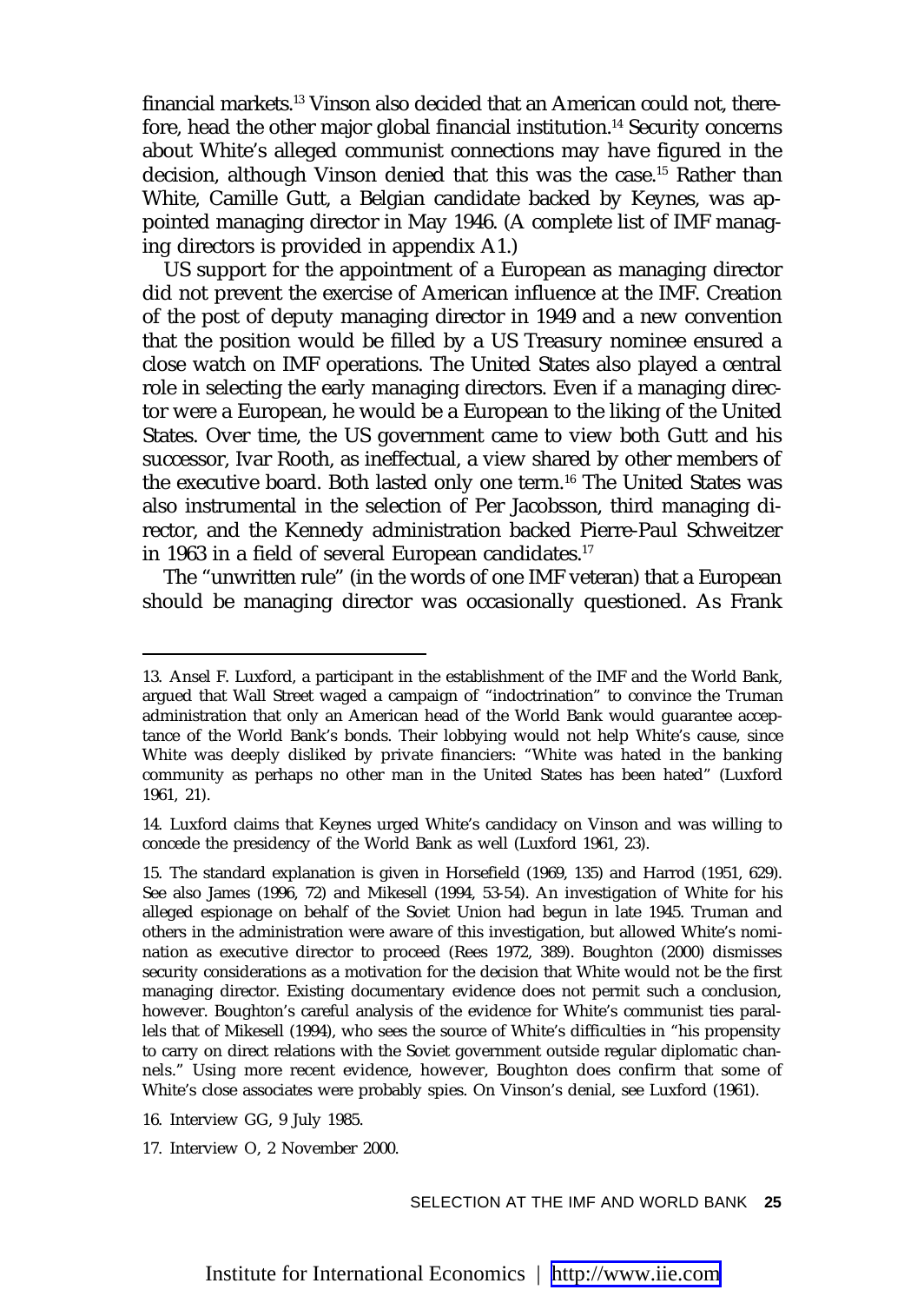financial markets.<sup>13</sup> Vinson also decided that an American could not, therefore, head the other major global financial institution.<sup>14</sup> Security concerns about White's alleged communist connections may have figured in the decision, although Vinson denied that this was the case.<sup>15</sup> Rather than White, Camille Gutt, a Belgian candidate backed by Keynes, was appointed managing director in May 1946. (A complete list of IMF managing directors is provided in appendix A1.)

US support for the appointment of a European as managing director did not prevent the exercise of American influence at the IMF. Creation of the post of deputy managing director in 1949 and a new convention that the position would be filled by a US Treasury nominee ensured a close watch on IMF operations. The United States also played a central role in selecting the early managing directors. Even if a managing director were a European, he would be a European to the liking of the United States. Over time, the US government came to view both Gutt and his successor, Ivar Rooth, as ineffectual, a view shared by other members of the executive board. Both lasted only one term.<sup>16</sup> The United States was also instrumental in the selection of Per Jacobsson, third managing director, and the Kennedy administration backed Pierre-Paul Schweitzer in 1963 in a field of several European candidates.<sup>17</sup>

The "unwritten rule" (in the words of one IMF veteran) that a European should be managing director was occasionally questioned. As Frank

<sup>13.</sup> Ansel F. Luxford, a participant in the establishment of the IMF and the World Bank, argued that Wall Street waged a campaign of "indoctrination" to convince the Truman administration that only an American head of the World Bank would guarantee acceptance of the World Bank's bonds. Their lobbying would not help White's cause, since White was deeply disliked by private financiers: "White was hated in the banking community as perhaps no other man in the United States has been hated" (Luxford 1961, 21).

<sup>14.</sup> Luxford claims that Keynes urged White's candidacy on Vinson and was willing to concede the presidency of the World Bank as well (Luxford 1961, 23).

<sup>15.</sup> The standard explanation is given in Horsefield (1969, 135) and Harrod (1951, 629). See also James (1996, 72) and Mikesell (1994, 53-54). An investigation of White for his alleged espionage on behalf of the Soviet Union had begun in late 1945. Truman and others in the administration were aware of this investigation, but allowed White's nomination as executive director to proceed (Rees 1972, 389). Boughton (2000) dismisses security considerations as a motivation for the decision that White would not be the first managing director. Existing documentary evidence does not permit such a conclusion, however. Boughton's careful analysis of the evidence for White's communist ties parallels that of Mikesell (1994), who sees the source of White's difficulties in "his propensity to carry on direct relations with the Soviet government outside regular diplomatic channels." Using more recent evidence, however, Boughton does confirm that some of White's close associates were probably spies. On Vinson's denial, see Luxford (1961).

<sup>16.</sup> Interview GG, 9 July 1985.

<sup>17.</sup> Interview O, 2 November 2000.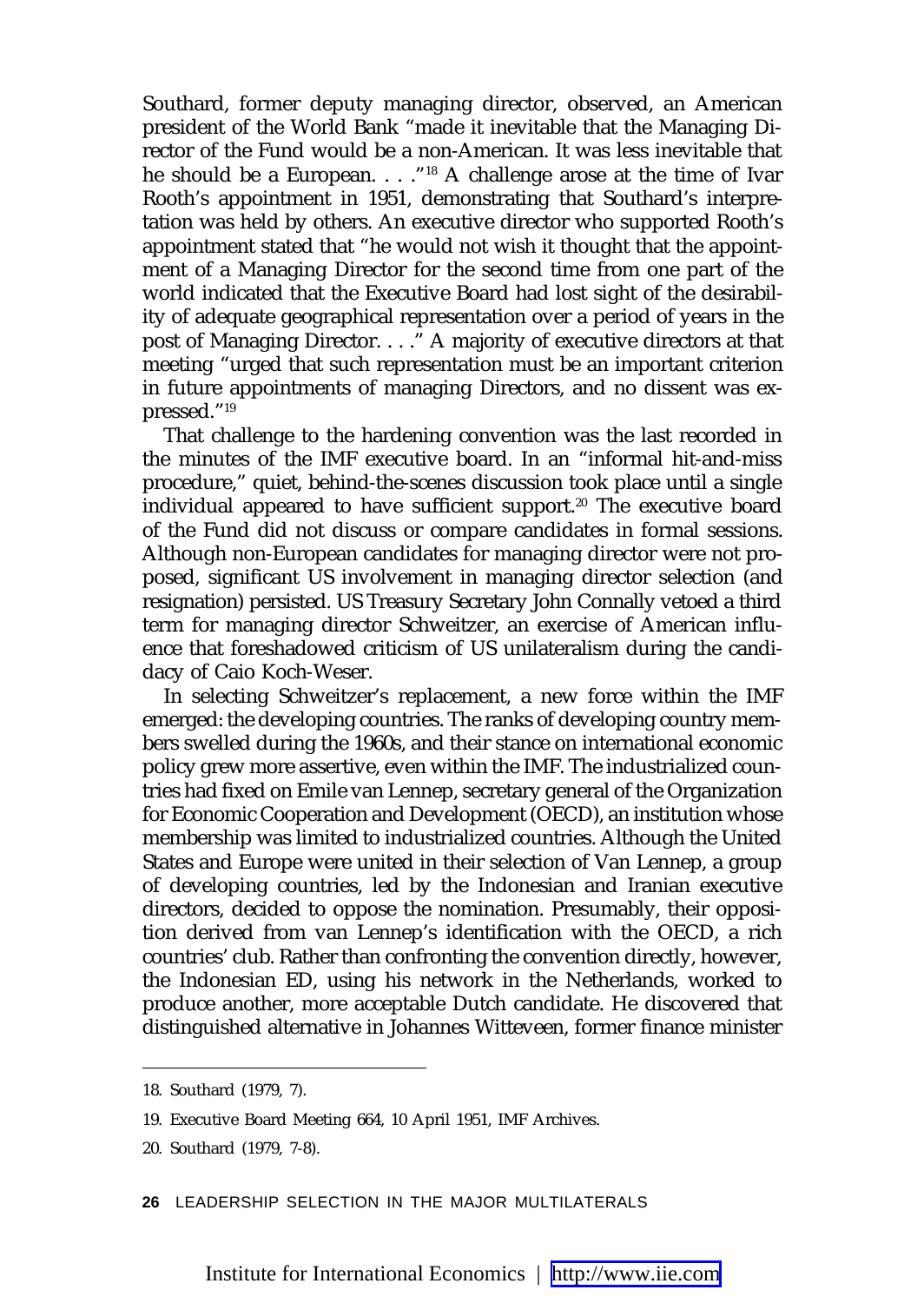Southard, former deputy managing director, observed, an American president of the World Bank "made it inevitable that the Managing Director of the Fund would be a non-American. It was less inevitable that he should be a European. . . ."18 A challenge arose at the time of Ivar Rooth's appointment in 1951, demonstrating that Southard's interpretation was held by others. An executive director who supported Rooth's appointment stated that "he would not wish it thought that the appointment of a Managing Director for the second time from one part of the world indicated that the Executive Board had lost sight of the desirability of adequate geographical representation over a period of years in the post of Managing Director. . . ." A majority of executive directors at that meeting "urged that such representation must be an important criterion in future appointments of managing Directors, and no dissent was expressed."19

That challenge to the hardening convention was the last recorded in the minutes of the IMF executive board. In an "informal hit-and-miss procedure," quiet, behind-the-scenes discussion took place until a single individual appeared to have sufficient support.<sup>20</sup> The executive board of the Fund did not discuss or compare candidates in formal sessions. Although non-European candidates for managing director were not proposed, significant US involvement in managing director selection (and resignation) persisted. US Treasury Secretary John Connally vetoed a third term for managing director Schweitzer, an exercise of American influence that foreshadowed criticism of US unilateralism during the candidacy of Caio Koch-Weser.

In selecting Schweitzer's replacement, a new force within the IMF emerged: the developing countries. The ranks of developing country members swelled during the 1960s, and their stance on international economic policy grew more assertive, even within the IMF. The industrialized countries had fixed on Emile van Lennep, secretary general of the Organization for Economic Cooperation and Development (OECD), an institution whose membership was limited to industrialized countries. Although the United States and Europe were united in their selection of Van Lennep, a group of developing countries, led by the Indonesian and Iranian executive directors, decided to oppose the nomination. Presumably, their opposition derived from van Lennep's identification with the OECD, a rich countries' club. Rather than confronting the convention directly, however, the Indonesian ED, using his network in the Netherlands, worked to produce another, more acceptable Dutch candidate. He discovered that distinguished alternative in Johannes Witteveen, former finance minister

**26** LEADERSHIP SELECTION IN THE MAJOR MULTILATERALS

<sup>18.</sup> Southard (1979, 7).

<sup>19.</sup> Executive Board Meeting 664, 10 April 1951, IMF Archives.

<sup>20.</sup> Southard (1979, 7-8).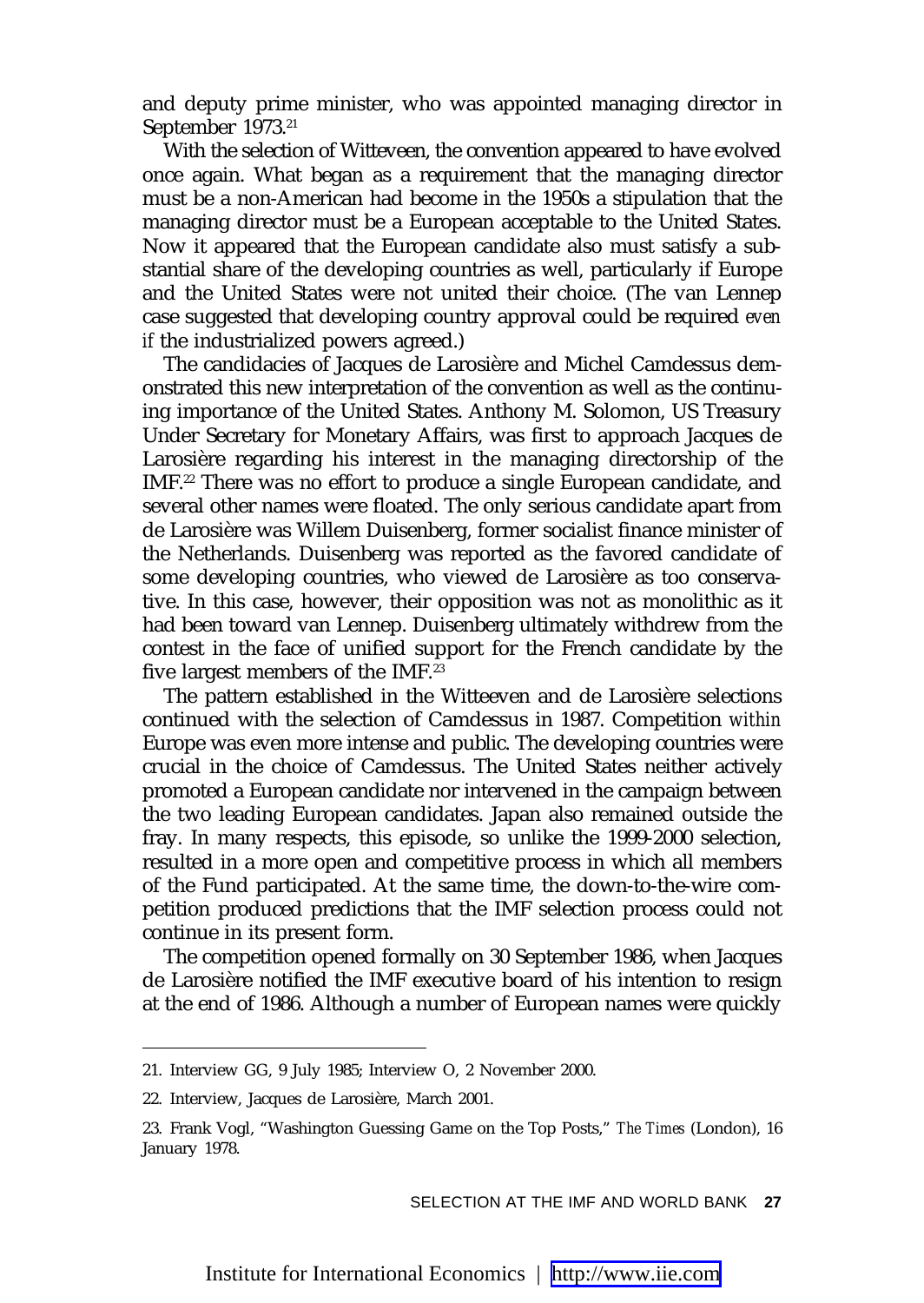and deputy prime minister, who was appointed managing director in September 1973.<sup>21</sup>

With the selection of Witteveen, the convention appeared to have evolved once again. What began as a requirement that the managing director must be a non-American had become in the 1950s a stipulation that the managing director must be a European acceptable to the United States. Now it appeared that the European candidate also must satisfy a substantial share of the developing countries as well, particularly if Europe and the United States were not united their choice. (The van Lennep case suggested that developing country approval could be required *even if* the industrialized powers agreed.)

The candidacies of Jacques de Larosière and Michel Camdessus demonstrated this new interpretation of the convention as well as the continuing importance of the United States. Anthony M. Solomon, US Treasury Under Secretary for Monetary Affairs, was first to approach Jacques de Larosière regarding his interest in the managing directorship of the IMF<sup>22</sup> There was no effort to produce a single European candidate, and several other names were floated. The only serious candidate apart from de Larosière was Willem Duisenberg, former socialist finance minister of the Netherlands. Duisenberg was reported as the favored candidate of some developing countries, who viewed de Larosière as too conservative. In this case, however, their opposition was not as monolithic as it had been toward van Lennep. Duisenberg ultimately withdrew from the contest in the face of unified support for the French candidate by the five largest members of the IMF.<sup>23</sup>

The pattern established in the Witteeven and de Larosière selections continued with the selection of Camdessus in 1987. Competition *within* Europe was even more intense and public. The developing countries were crucial in the choice of Camdessus. The United States neither actively promoted a European candidate nor intervened in the campaign between the two leading European candidates. Japan also remained outside the fray. In many respects, this episode, so unlike the 1999-2000 selection, resulted in a more open and competitive process in which all members of the Fund participated. At the same time, the down-to-the-wire competition produced predictions that the IMF selection process could not continue in its present form.

The competition opened formally on 30 September 1986, when Jacques de Larosière notified the IMF executive board of his intention to resign at the end of 1986. Although a number of European names were quickly

<sup>21.</sup> Interview GG, 9 July 1985; Interview O, 2 November 2000.

<sup>22.</sup> Interview, Jacques de Larosière, March 2001.

<sup>23.</sup> Frank Vogl, "Washington Guessing Game on the Top Posts," *The Times* (London), 16 January 1978.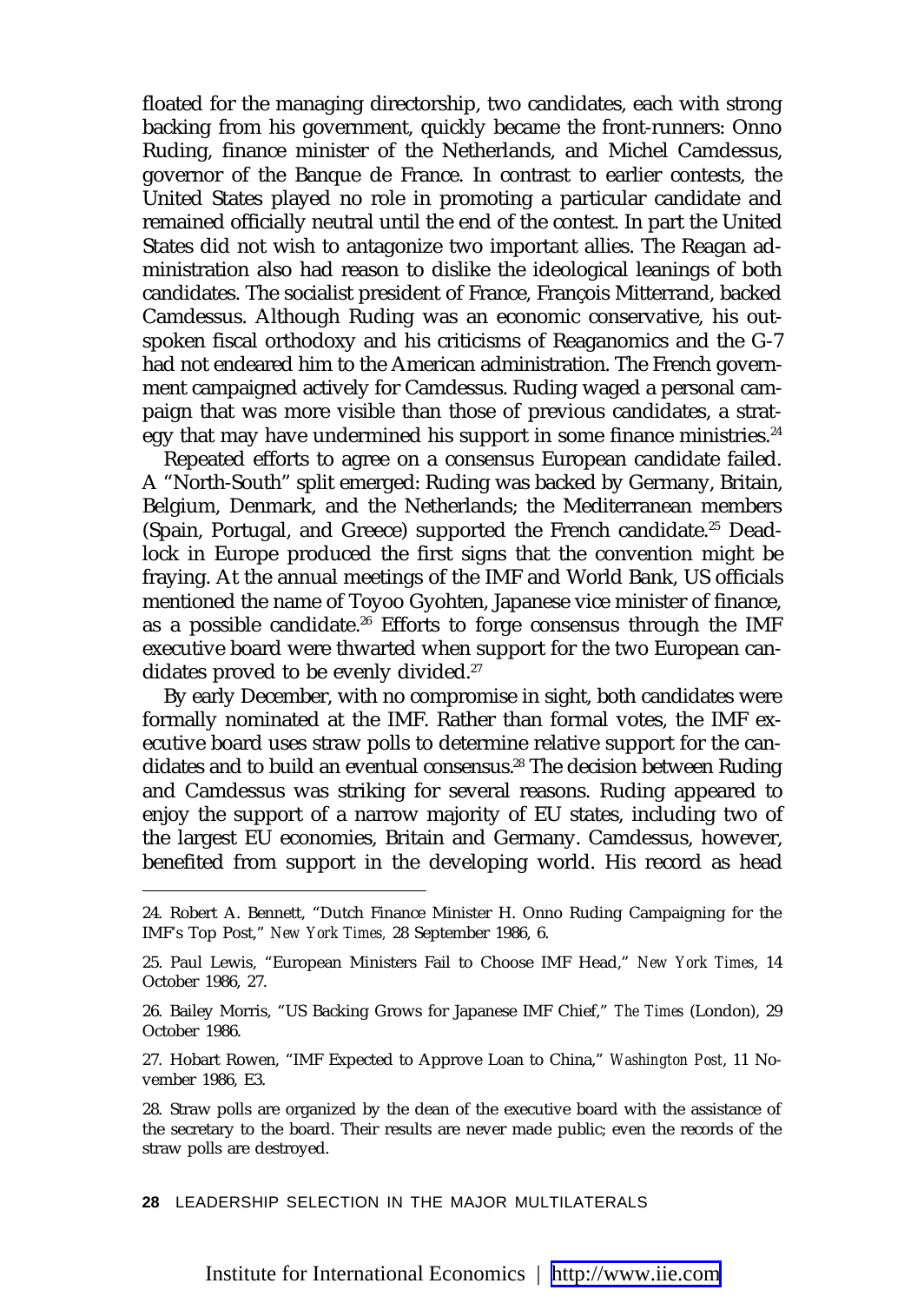floated for the managing directorship, two candidates, each with strong backing from his government, quickly became the front-runners: Onno Ruding, finance minister of the Netherlands, and Michel Camdessus, governor of the Banque de France. In contrast to earlier contests, the United States played no role in promoting a particular candidate and remained officially neutral until the end of the contest. In part the United States did not wish to antagonize two important allies. The Reagan administration also had reason to dislike the ideological leanings of both candidates. The socialist president of France, François Mitterrand, backed Camdessus. Although Ruding was an economic conservative, his outspoken fiscal orthodoxy and his criticisms of Reaganomics and the G-7 had not endeared him to the American administration. The French government campaigned actively for Camdessus. Ruding waged a personal campaign that was more visible than those of previous candidates, a strategy that may have undermined his support in some finance ministries.<sup>24</sup>

Repeated efforts to agree on a consensus European candidate failed. A "North-South" split emerged: Ruding was backed by Germany, Britain, Belgium, Denmark, and the Netherlands; the Mediterranean members (Spain, Portugal, and Greece) supported the French candidate.25 Deadlock in Europe produced the first signs that the convention might be fraying. At the annual meetings of the IMF and World Bank, US officials mentioned the name of Toyoo Gyohten, Japanese vice minister of finance, as a possible candidate.<sup>26</sup> Efforts to forge consensus through the IMF executive board were thwarted when support for the two European candidates proved to be evenly divided.<sup>27</sup>

By early December, with no compromise in sight, both candidates were formally nominated at the IMF. Rather than formal votes, the IMF executive board uses straw polls to determine relative support for the candidates and to build an eventual consensus.<sup>28</sup> The decision between Ruding and Camdessus was striking for several reasons. Ruding appeared to enjoy the support of a narrow majority of EU states, including two of the largest EU economies, Britain and Germany. Camdessus, however, benefited from support in the developing world. His record as head

27. Hobart Rowen, "IMF Expected to Approve Loan to China," *Washington Post*, 11 November 1986, E3.

**28** LEADERSHIP SELECTION IN THE MAJOR MULTILATERALS

<sup>24.</sup> Robert A. Bennett, "Dutch Finance Minister H. Onno Ruding Campaigning for the IMF's Top Post," *New York Times,* 28 September 1986, 6.

<sup>25.</sup> Paul Lewis, "European Ministers Fail to Choose IMF Head," *New York Times*, 14 October 1986, 27.

<sup>26.</sup> Bailey Morris, "US Backing Grows for Japanese IMF Chief," *The Times* (London), 29 October 1986.

<sup>28.</sup> Straw polls are organized by the dean of the executive board with the assistance of the secretary to the board. Their results are never made public; even the records of the straw polls are destroyed.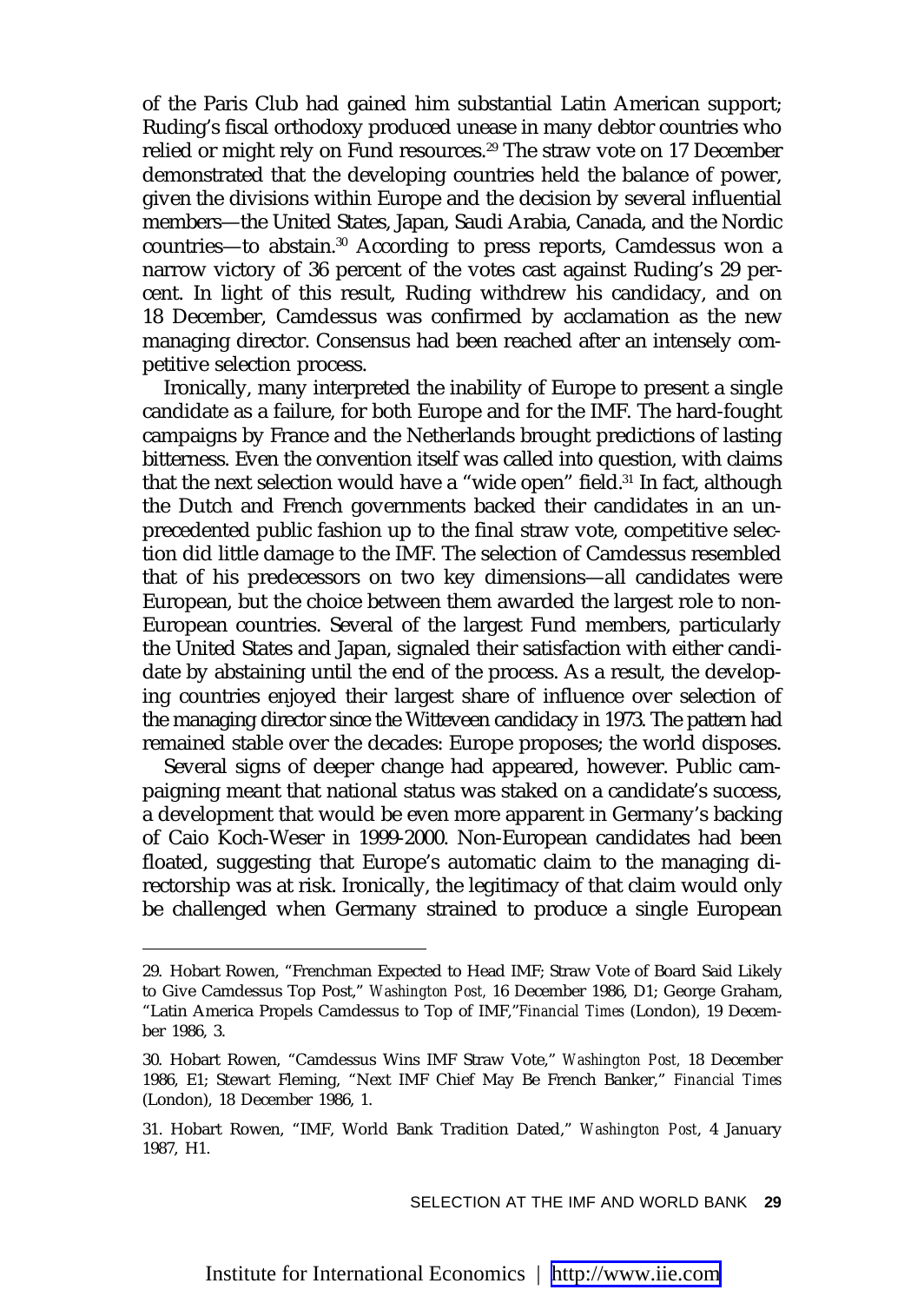of the Paris Club had gained him substantial Latin American support; Ruding's fiscal orthodoxy produced unease in many debtor countries who relied or might rely on Fund resources.<sup>29</sup> The straw vote on 17 December demonstrated that the developing countries held the balance of power, given the divisions within Europe and the decision by several influential members—the United States, Japan, Saudi Arabia, Canada, and the Nordic countries—to abstain.30 According to press reports, Camdessus won a narrow victory of 36 percent of the votes cast against Ruding's 29 percent. In light of this result, Ruding withdrew his candidacy, and on 18 December, Camdessus was confirmed by acclamation as the new managing director. Consensus had been reached after an intensely competitive selection process.

Ironically, many interpreted the inability of Europe to present a single candidate as a failure, for both Europe and for the IMF. The hard-fought campaigns by France and the Netherlands brought predictions of lasting bitterness. Even the convention itself was called into question, with claims that the next selection would have a "wide open" field.<sup>31</sup> In fact, although the Dutch and French governments backed their candidates in an unprecedented public fashion up to the final straw vote, competitive selection did little damage to the IMF. The selection of Camdessus resembled that of his predecessors on two key dimensions—all candidates were European, but the choice between them awarded the largest role to non-European countries. Several of the largest Fund members, particularly the United States and Japan, signaled their satisfaction with either candidate by abstaining until the end of the process. As a result, the developing countries enjoyed their largest share of influence over selection of the managing director since the Witteveen candidacy in 1973. The pattern had remained stable over the decades: Europe proposes; the world disposes.

Several signs of deeper change had appeared, however. Public campaigning meant that national status was staked on a candidate's success, a development that would be even more apparent in Germany's backing of Caio Koch-Weser in 1999-2000. Non-European candidates had been floated, suggesting that Europe's automatic claim to the managing directorship was at risk. Ironically, the legitimacy of that claim would only be challenged when Germany strained to produce a single European

<sup>29.</sup> Hobart Rowen, "Frenchman Expected to Head IMF; Straw Vote of Board Said Likely to Give Camdessus Top Post," *Washington Post,* 16 December 1986, D1; George Graham, "Latin America Propels Camdessus to Top of IMF,"*Financial Times* (London), 19 December 1986, 3.

<sup>30.</sup> Hobart Rowen, "Camdessus Wins IMF Straw Vote," *Washington Post,* 18 December 1986, E1; Stewart Fleming, "Next IMF Chief May Be French Banker," *Financial Times* (London), 18 December 1986, 1.

<sup>31.</sup> Hobart Rowen, "IMF, World Bank Tradition Dated," *Washington Post*, 4 January 1987, H1.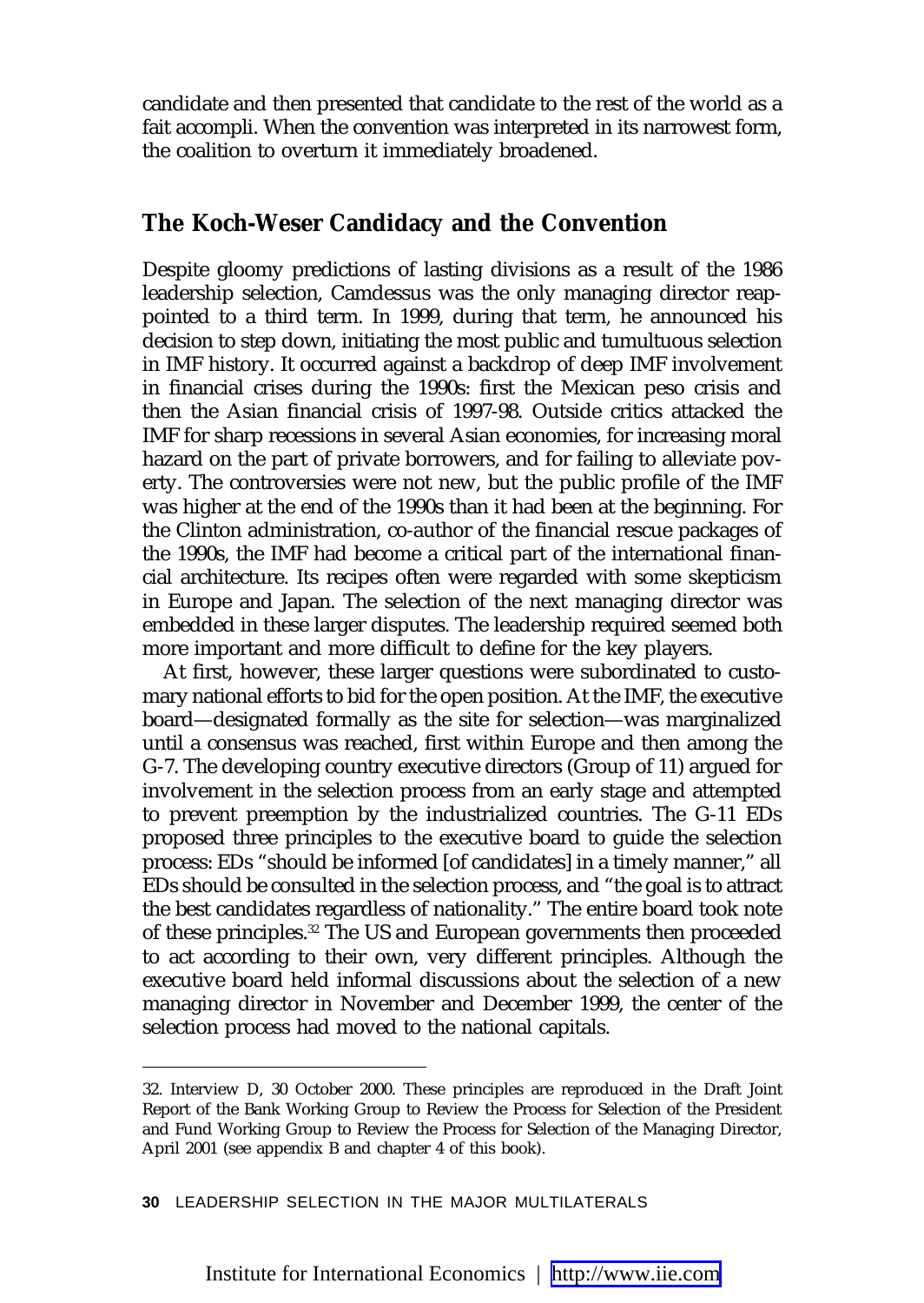candidate and then presented that candidate to the rest of the world as a fait accompli. When the convention was interpreted in its narrowest form, the coalition to overturn it immediately broadened.

#### **The Koch-Weser Candidacy and the Convention**

Despite gloomy predictions of lasting divisions as a result of the 1986 leadership selection, Camdessus was the only managing director reappointed to a third term. In 1999, during that term, he announced his decision to step down, initiating the most public and tumultuous selection in IMF history. It occurred against a backdrop of deep IMF involvement in financial crises during the 1990s: first the Mexican peso crisis and then the Asian financial crisis of 1997-98. Outside critics attacked the IMF for sharp recessions in several Asian economies, for increasing moral hazard on the part of private borrowers, and for failing to alleviate poverty. The controversies were not new, but the public profile of the IMF was higher at the end of the 1990s than it had been at the beginning. For the Clinton administration, co-author of the financial rescue packages of the 1990s, the IMF had become a critical part of the international financial architecture. Its recipes often were regarded with some skepticism in Europe and Japan. The selection of the next managing director was embedded in these larger disputes. The leadership required seemed both more important and more difficult to define for the key players.

At first, however, these larger questions were subordinated to customary national efforts to bid for the open position. At the IMF, the executive board—designated formally as the site for selection—was marginalized until a consensus was reached, first within Europe and then among the G-7. The developing country executive directors (Group of 11) argued for involvement in the selection process from an early stage and attempted to prevent preemption by the industrialized countries. The G-11 EDs proposed three principles to the executive board to guide the selection process: EDs "should be informed [of candidates] in a timely manner," all EDs should be consulted in the selection process, and "the goal is to attract the best candidates regardless of nationality." The entire board took note of these principles.<sup>32</sup> The US and European governments then proceeded to act according to their own, very different principles. Although the executive board held informal discussions about the selection of a new managing director in November and December 1999, the center of the selection process had moved to the national capitals.

<sup>32.</sup> Interview D, 30 October 2000. These principles are reproduced in the Draft Joint Report of the Bank Working Group to Review the Process for Selection of the President and Fund Working Group to Review the Process for Selection of the Managing Director, April 2001 (see appendix B and chapter 4 of this book).

**<sup>30</sup>** LEADERSHIP SELECTION IN THE MAJOR MULTILATERALS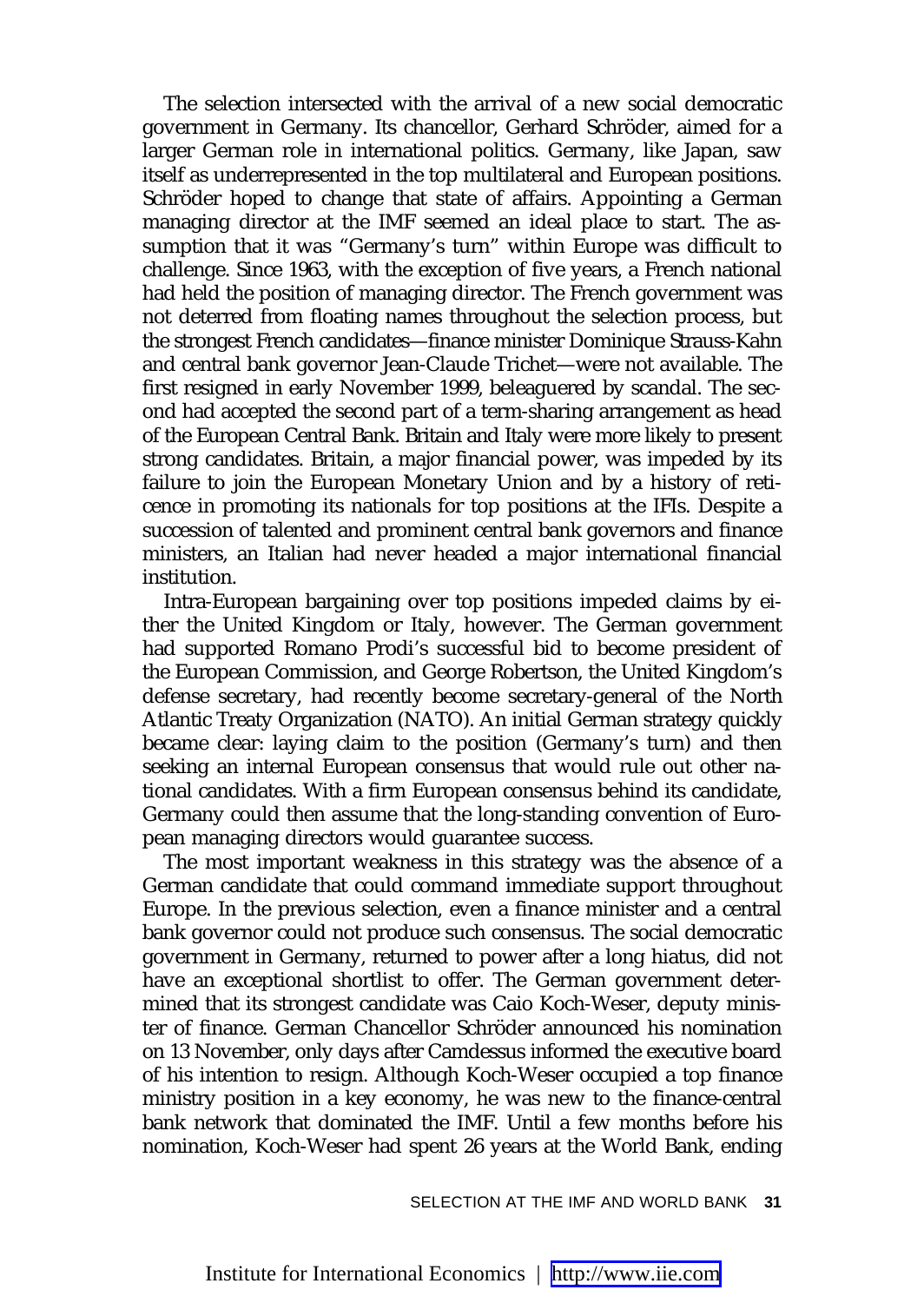The selection intersected with the arrival of a new social democratic government in Germany. Its chancellor, Gerhard Schröder, aimed for a larger German role in international politics. Germany, like Japan, saw itself as underrepresented in the top multilateral and European positions. Schröder hoped to change that state of affairs. Appointing a German managing director at the IMF seemed an ideal place to start. The assumption that it was "Germany's turn" within Europe was difficult to challenge. Since 1963, with the exception of five years, a French national had held the position of managing director. The French government was not deterred from floating names throughout the selection process, but the strongest French candidates—finance minister Dominique Strauss-Kahn and central bank governor Jean-Claude Trichet—were not available. The first resigned in early November 1999, beleaguered by scandal. The second had accepted the second part of a term-sharing arrangement as head of the European Central Bank. Britain and Italy were more likely to present strong candidates. Britain, a major financial power, was impeded by its failure to join the European Monetary Union and by a history of reticence in promoting its nationals for top positions at the IFIs. Despite a succession of talented and prominent central bank governors and finance ministers, an Italian had never headed a major international financial institution.

Intra-European bargaining over top positions impeded claims by either the United Kingdom or Italy, however. The German government had supported Romano Prodi's successful bid to become president of the European Commission, and George Robertson, the United Kingdom's defense secretary, had recently become secretary-general of the North Atlantic Treaty Organization (NATO). An initial German strategy quickly became clear: laying claim to the position (Germany's turn) and then seeking an internal European consensus that would rule out other national candidates. With a firm European consensus behind its candidate, Germany could then assume that the long-standing convention of European managing directors would guarantee success.

The most important weakness in this strategy was the absence of a German candidate that could command immediate support throughout Europe. In the previous selection, even a finance minister and a central bank governor could not produce such consensus. The social democratic government in Germany, returned to power after a long hiatus, did not have an exceptional shortlist to offer. The German government determined that its strongest candidate was Caio Koch-Weser, deputy minister of finance. German Chancellor Schröder announced his nomination on 13 November, only days after Camdessus informed the executive board of his intention to resign. Although Koch-Weser occupied a top finance ministry position in a key economy, he was new to the finance-central bank network that dominated the IMF. Until a few months before his nomination, Koch-Weser had spent 26 years at the World Bank, ending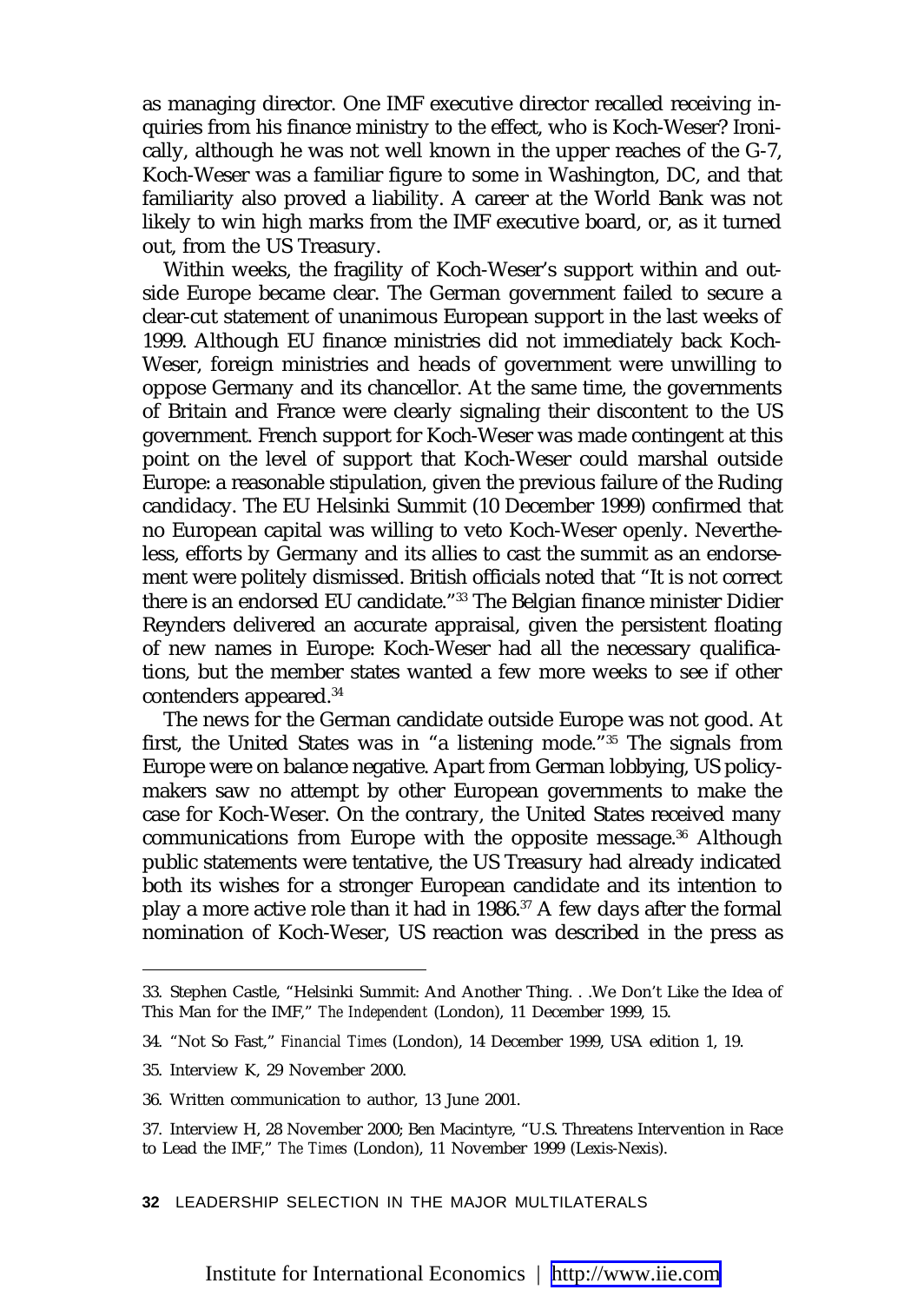as managing director. One IMF executive director recalled receiving inquiries from his finance ministry to the effect, who is Koch-Weser? Ironically, although he was not well known in the upper reaches of the G-7, Koch-Weser was a familiar figure to some in Washington, DC, and that familiarity also proved a liability. A career at the World Bank was not likely to win high marks from the IMF executive board, or, as it turned out, from the US Treasury.

Within weeks, the fragility of Koch-Weser's support within and outside Europe became clear. The German government failed to secure a clear-cut statement of unanimous European support in the last weeks of 1999. Although EU finance ministries did not immediately back Koch-Weser, foreign ministries and heads of government were unwilling to oppose Germany and its chancellor. At the same time, the governments of Britain and France were clearly signaling their discontent to the US government. French support for Koch-Weser was made contingent at this point on the level of support that Koch-Weser could marshal outside Europe: a reasonable stipulation, given the previous failure of the Ruding candidacy. The EU Helsinki Summit (10 December 1999) confirmed that no European capital was willing to veto Koch-Weser openly. Nevertheless, efforts by Germany and its allies to cast the summit as an endorsement were politely dismissed. British officials noted that "It is not correct there is an endorsed EU candidate."33 The Belgian finance minister Didier Reynders delivered an accurate appraisal, given the persistent floating of new names in Europe: Koch-Weser had all the necessary qualifications, but the member states wanted a few more weeks to see if other contenders appeared.<sup>34</sup>

The news for the German candidate outside Europe was not good. At first, the United States was in "a listening mode."35 The signals from Europe were on balance negative. Apart from German lobbying, US policymakers saw no attempt by other European governments to make the case for Koch-Weser. On the contrary, the United States received many communications from Europe with the opposite message.36 Although public statements were tentative, the US Treasury had already indicated both its wishes for a stronger European candidate and its intention to play a more active role than it had in 1986.37 A few days after the formal nomination of Koch-Weser, US reaction was described in the press as

**32** LEADERSHIP SELECTION IN THE MAJOR MULTILATERALS

<sup>33.</sup> Stephen Castle, "Helsinki Summit: And Another Thing. . .We Don't Like the Idea of This Man for the IMF," *The Independent* (London), 11 December 1999, 15.

<sup>34. &</sup>quot;Not So Fast," *Financial Times* (London), 14 December 1999, USA edition 1, 19.

<sup>35.</sup> Interview K, 29 November 2000.

<sup>36.</sup> Written communication to author, 13 June 2001.

<sup>37.</sup> Interview H, 28 November 2000; Ben Macintyre, "U.S. Threatens Intervention in Race to Lead the IMF," *The Times* (London), 11 November 1999 (Lexis-Nexis).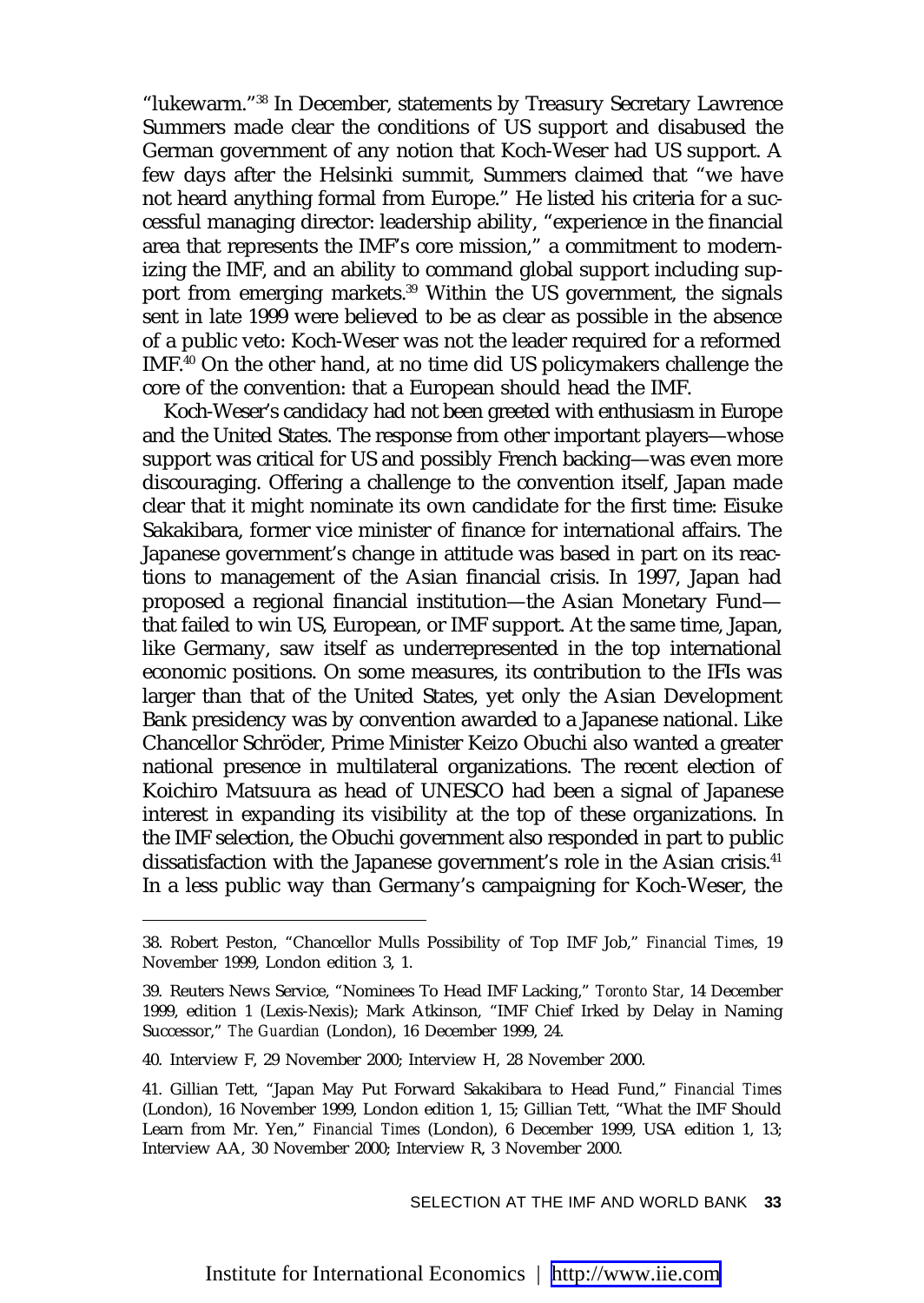"lukewarm."38 In December, statements by Treasury Secretary Lawrence Summers made clear the conditions of US support and disabused the German government of any notion that Koch-Weser had US support. A few days after the Helsinki summit, Summers claimed that "we have not heard anything formal from Europe." He listed his criteria for a successful managing director: leadership ability, "experience in the financial area that represents the IMF's core mission," a commitment to modernizing the IMF, and an ability to command global support including support from emerging markets.<sup>39</sup> Within the US government, the signals sent in late 1999 were believed to be as clear as possible in the absence of a public veto: Koch-Weser was not the leader required for a reformed IMF.40 On the other hand, at no time did US policymakers challenge the core of the convention: that a European should head the IMF.

Koch-Weser's candidacy had not been greeted with enthusiasm in Europe and the United States. The response from other important players—whose support was critical for US and possibly French backing—was even more discouraging. Offering a challenge to the convention itself, Japan made clear that it might nominate its own candidate for the first time: Eisuke Sakakibara, former vice minister of finance for international affairs. The Japanese government's change in attitude was based in part on its reactions to management of the Asian financial crisis. In 1997, Japan had proposed a regional financial institution—the Asian Monetary Fund that failed to win US, European, or IMF support. At the same time, Japan, like Germany, saw itself as underrepresented in the top international economic positions. On some measures, its contribution to the IFIs was larger than that of the United States, yet only the Asian Development Bank presidency was by convention awarded to a Japanese national. Like Chancellor Schröder, Prime Minister Keizo Obuchi also wanted a greater national presence in multilateral organizations. The recent election of Koichiro Matsuura as head of UNESCO had been a signal of Japanese interest in expanding its visibility at the top of these organizations. In the IMF selection, the Obuchi government also responded in part to public dissatisfaction with the Japanese government's role in the Asian crisis.<sup>41</sup> In a less public way than Germany's campaigning for Koch-Weser, the

<sup>38.</sup> Robert Peston, "Chancellor Mulls Possibility of Top IMF Job," *Financial Times*, 19 November 1999, London edition 3, 1.

<sup>39.</sup> Reuters News Service, "Nominees To Head IMF Lacking," *Toronto Star*, 14 December 1999, edition 1 (Lexis-Nexis); Mark Atkinson, "IMF Chief Irked by Delay in Naming Successor," *The Guardian* (London), 16 December 1999, 24.

<sup>40.</sup> Interview F, 29 November 2000; Interview H, 28 November 2000.

<sup>41.</sup> Gillian Tett, "Japan May Put Forward Sakakibara to Head Fund," *Financial Times* (London), 16 November 1999, London edition 1, 15; Gillian Tett, "What the IMF Should Learn from Mr. Yen," *Financial Times* (London), 6 December 1999, USA edition 1, 13; Interview AA, 30 November 2000; Interview R, 3 November 2000.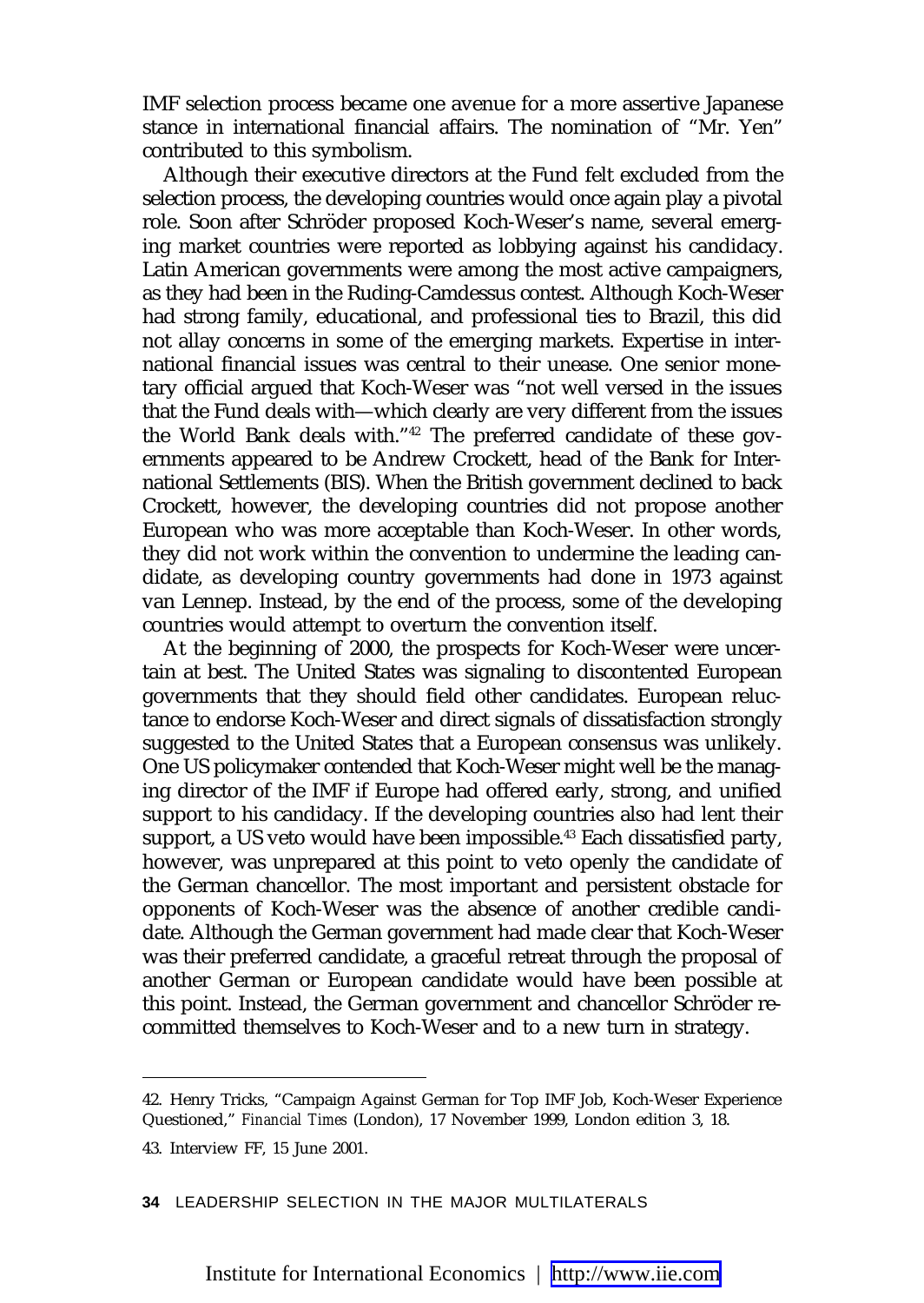IMF selection process became one avenue for a more assertive Japanese stance in international financial affairs. The nomination of "Mr. Yen" contributed to this symbolism.

Although their executive directors at the Fund felt excluded from the selection process, the developing countries would once again play a pivotal role. Soon after Schröder proposed Koch-Weser's name, several emerging market countries were reported as lobbying against his candidacy. Latin American governments were among the most active campaigners, as they had been in the Ruding-Camdessus contest. Although Koch-Weser had strong family, educational, and professional ties to Brazil, this did not allay concerns in some of the emerging markets. Expertise in international financial issues was central to their unease. One senior monetary official argued that Koch-Weser was "not well versed in the issues that the Fund deals with—which clearly are very different from the issues the World Bank deals with."42 The preferred candidate of these governments appeared to be Andrew Crockett, head of the Bank for International Settlements (BIS). When the British government declined to back Crockett, however, the developing countries did not propose another European who was more acceptable than Koch-Weser. In other words, they did not work within the convention to undermine the leading candidate, as developing country governments had done in 1973 against van Lennep. Instead, by the end of the process, some of the developing countries would attempt to overturn the convention itself.

At the beginning of 2000, the prospects for Koch-Weser were uncertain at best. The United States was signaling to discontented European governments that they should field other candidates. European reluctance to endorse Koch-Weser and direct signals of dissatisfaction strongly suggested to the United States that a European consensus was unlikely. One US policymaker contended that Koch-Weser might well be the managing director of the IMF if Europe had offered early, strong, and unified support to his candidacy. If the developing countries also had lent their support, a US veto would have been impossible.<sup>43</sup> Each dissatisfied party, however, was unprepared at this point to veto openly the candidate of the German chancellor. The most important and persistent obstacle for opponents of Koch-Weser was the absence of another credible candidate. Although the German government had made clear that Koch-Weser was their preferred candidate, a graceful retreat through the proposal of another German or European candidate would have been possible at this point. Instead, the German government and chancellor Schröder recommitted themselves to Koch-Weser and to a new turn in strategy.

**34** LEADERSHIP SELECTION IN THE MAJOR MULTILATERALS

<sup>42.</sup> Henry Tricks, "Campaign Against German for Top IMF Job, Koch-Weser Experience Questioned," *Financial Times* (London), 17 November 1999, London edition 3, 18.

<sup>43.</sup> Interview FF, 15 June 2001.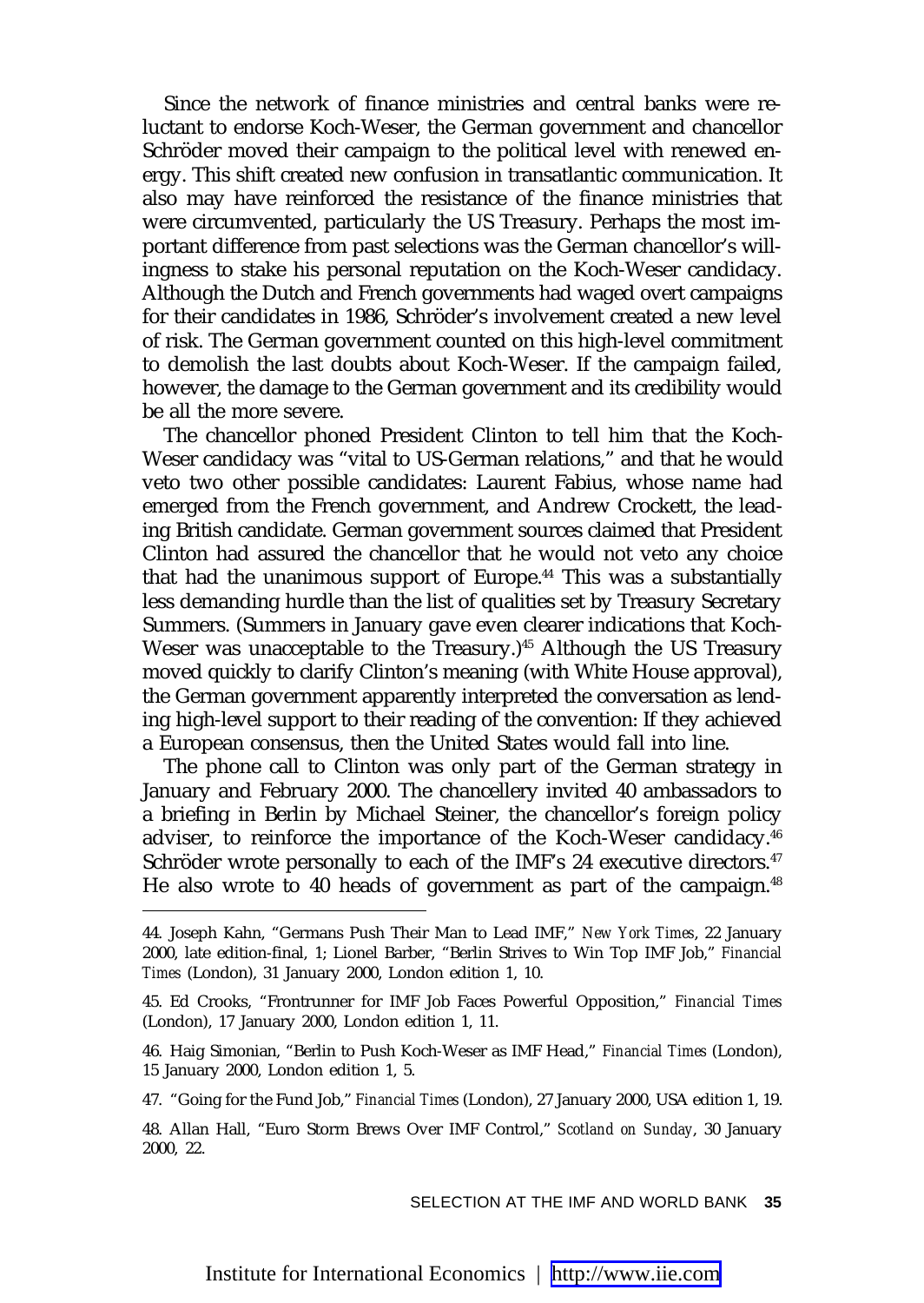Since the network of finance ministries and central banks were reluctant to endorse Koch-Weser, the German government and chancellor Schröder moved their campaign to the political level with renewed energy. This shift created new confusion in transatlantic communication. It also may have reinforced the resistance of the finance ministries that were circumvented, particularly the US Treasury. Perhaps the most important difference from past selections was the German chancellor's willingness to stake his personal reputation on the Koch-Weser candidacy. Although the Dutch and French governments had waged overt campaigns for their candidates in 1986, Schröder's involvement created a new level of risk. The German government counted on this high-level commitment to demolish the last doubts about Koch-Weser. If the campaign failed, however, the damage to the German government and its credibility would be all the more severe.

The chancellor phoned President Clinton to tell him that the Koch-Weser candidacy was "vital to US-German relations," and that he would veto two other possible candidates: Laurent Fabius, whose name had emerged from the French government, and Andrew Crockett, the leading British candidate. German government sources claimed that President Clinton had assured the chancellor that he would not veto any choice that had the unanimous support of Europe.<sup>44</sup> This was a substantially less demanding hurdle than the list of qualities set by Treasury Secretary Summers. (Summers in January gave even clearer indications that Koch-Weser was unacceptable to the Treasury.)<sup>45</sup> Although the US Treasury moved quickly to clarify Clinton's meaning (with White House approval), the German government apparently interpreted the conversation as lending high-level support to their reading of the convention: If they achieved a European consensus, then the United States would fall into line.

The phone call to Clinton was only part of the German strategy in January and February 2000. The chancellery invited 40 ambassadors to a briefing in Berlin by Michael Steiner, the chancellor's foreign policy adviser, to reinforce the importance of the Koch-Weser candidacy.<sup>46</sup> Schröder wrote personally to each of the IMF's 24 executive directors.<sup>47</sup> He also wrote to 40 heads of government as part of the campaign.<sup>48</sup>

<sup>44.</sup> Joseph Kahn, "Germans Push Their Man to Lead IMF," *New York Times*, 22 January 2000, late edition-final, 1; Lionel Barber, "Berlin Strives to Win Top IMF Job," *Financial Times* (London), 31 January 2000, London edition 1, 10.

<sup>45.</sup> Ed Crooks, "Frontrunner for IMF Job Faces Powerful Opposition," *Financial Times* (London), 17 January 2000, London edition 1, 11.

<sup>46.</sup> Haig Simonian, "Berlin to Push Koch-Weser as IMF Head," *Financial Times* (London), 15 January 2000, London edition 1, 5.

<sup>47. &</sup>quot;Going for the Fund Job," *Financial Times* (London), 27 January 2000, USA edition 1, 19.

<sup>48.</sup> Allan Hall, "Euro Storm Brews Over IMF Control," *Scotland on Sunday*, 30 January 2000, 22.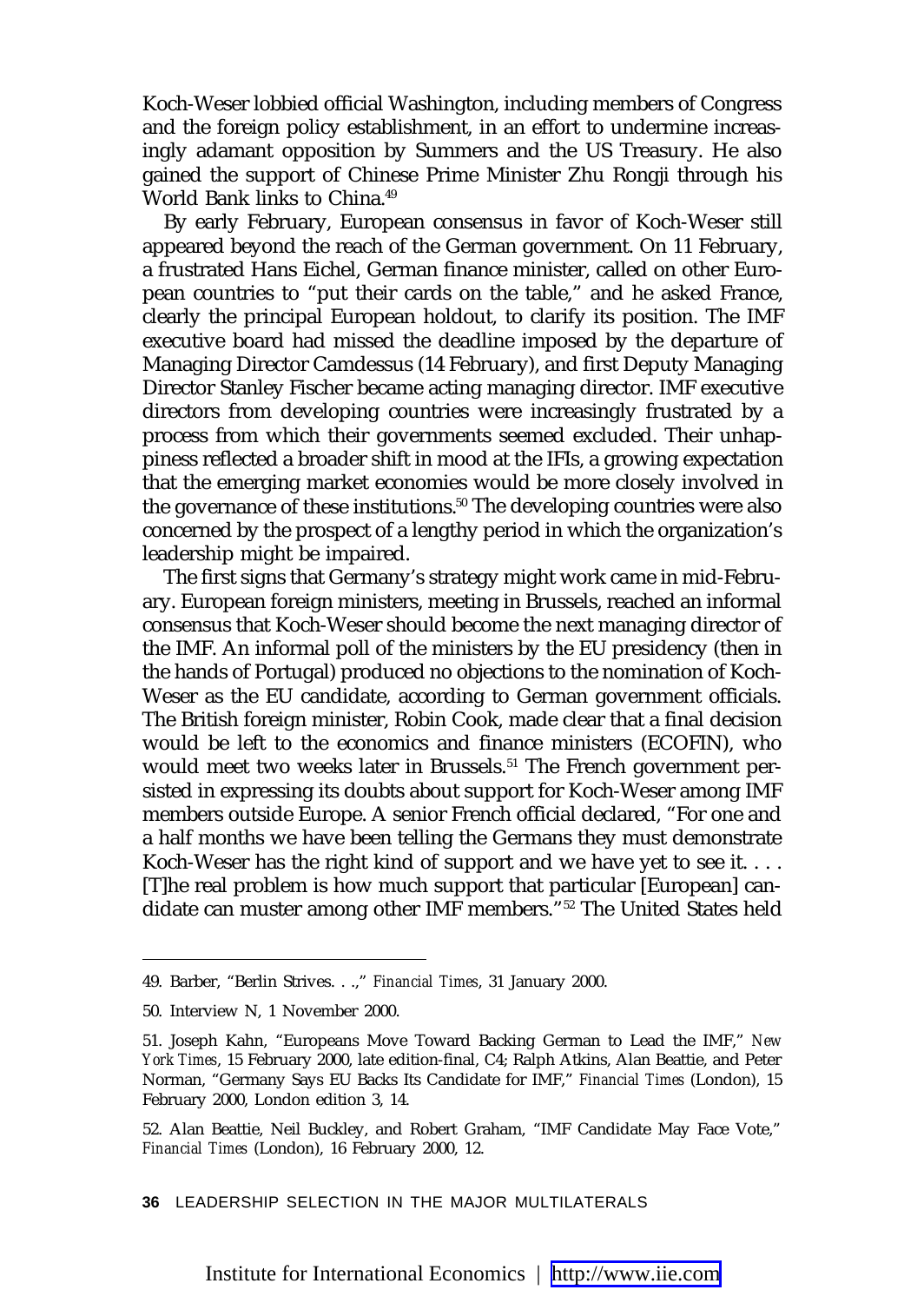Koch-Weser lobbied official Washington, including members of Congress and the foreign policy establishment, in an effort to undermine increasingly adamant opposition by Summers and the US Treasury. He also gained the support of Chinese Prime Minister Zhu Rongji through his World Bank links to China.49

By early February, European consensus in favor of Koch-Weser still appeared beyond the reach of the German government. On 11 February, a frustrated Hans Eichel, German finance minister, called on other European countries to "put their cards on the table," and he asked France, clearly the principal European holdout, to clarify its position. The IMF executive board had missed the deadline imposed by the departure of Managing Director Camdessus (14 February), and first Deputy Managing Director Stanley Fischer became acting managing director. IMF executive directors from developing countries were increasingly frustrated by a process from which their governments seemed excluded. Their unhappiness reflected a broader shift in mood at the IFIs, a growing expectation that the emerging market economies would be more closely involved in the governance of these institutions.<sup>50</sup> The developing countries were also concerned by the prospect of a lengthy period in which the organization's leadership might be impaired.

The first signs that Germany's strategy might work came in mid-February. European foreign ministers, meeting in Brussels, reached an informal consensus that Koch-Weser should become the next managing director of the IMF. An informal poll of the ministers by the EU presidency (then in the hands of Portugal) produced no objections to the nomination of Koch-Weser as the EU candidate, according to German government officials. The British foreign minister, Robin Cook, made clear that a final decision would be left to the economics and finance ministers (ECOFIN), who would meet two weeks later in Brussels.<sup>51</sup> The French government persisted in expressing its doubts about support for Koch-Weser among IMF members outside Europe. A senior French official declared, "For one and a half months we have been telling the Germans they must demonstrate Koch-Weser has the right kind of support and we have yet to see it. . . . [T]he real problem is how much support that particular [European] candidate can muster among other IMF members."52 The United States held

**36** LEADERSHIP SELECTION IN THE MAJOR MULTILATERALS

<sup>49.</sup> Barber, "Berlin Strives. . .," *Financial Times*, 31 January 2000.

<sup>50.</sup> Interview N, 1 November 2000.

<sup>51.</sup> Joseph Kahn, "Europeans Move Toward Backing German to Lead the IMF," *New York Times*, 15 February 2000, late edition-final, C4; Ralph Atkins, Alan Beattie, and Peter Norman, "Germany Says EU Backs Its Candidate for IMF," *Financial Times* (London), 15 February 2000, London edition 3, 14.

<sup>52.</sup> Alan Beattie, Neil Buckley, and Robert Graham, "IMF Candidate May Face Vote," *Financial Times* (London), 16 February 2000, 12.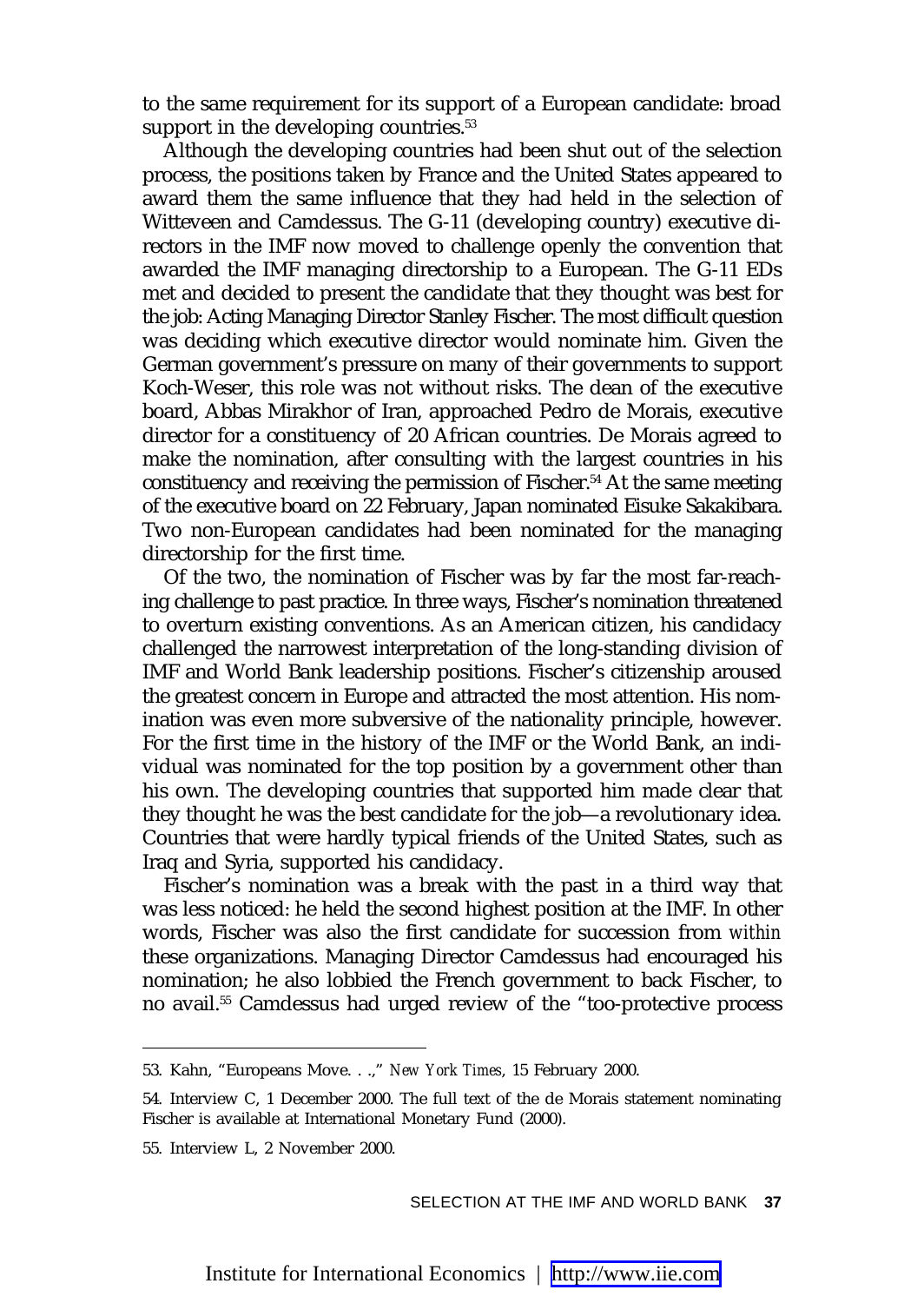to the same requirement for its support of a European candidate: broad support in the developing countries.<sup>53</sup>

Although the developing countries had been shut out of the selection process, the positions taken by France and the United States appeared to award them the same influence that they had held in the selection of Witteveen and Camdessus. The G-11 (developing country) executive directors in the IMF now moved to challenge openly the convention that awarded the IMF managing directorship to a European. The G-11 EDs met and decided to present the candidate that they thought was best for the job: Acting Managing Director Stanley Fischer. The most difficult question was deciding which executive director would nominate him. Given the German government's pressure on many of their governments to support Koch-Weser, this role was not without risks. The dean of the executive board, Abbas Mirakhor of Iran, approached Pedro de Morais, executive director for a constituency of 20 African countries. De Morais agreed to make the nomination, after consulting with the largest countries in his constituency and receiving the permission of Fischer.<sup>54</sup> At the same meeting of the executive board on 22 February, Japan nominated Eisuke Sakakibara. Two non-European candidates had been nominated for the managing directorship for the first time.

Of the two, the nomination of Fischer was by far the most far-reaching challenge to past practice. In three ways, Fischer's nomination threatened to overturn existing conventions. As an American citizen, his candidacy challenged the narrowest interpretation of the long-standing division of IMF and World Bank leadership positions. Fischer's citizenship aroused the greatest concern in Europe and attracted the most attention. His nomination was even more subversive of the nationality principle, however. For the first time in the history of the IMF or the World Bank, an individual was nominated for the top position by a government other than his own. The developing countries that supported him made clear that they thought he was the best candidate for the job—a revolutionary idea. Countries that were hardly typical friends of the United States, such as Iraq and Syria, supported his candidacy.

Fischer's nomination was a break with the past in a third way that was less noticed: he held the second highest position at the IMF. In other words, Fischer was also the first candidate for succession from *within* these organizations. Managing Director Camdessus had encouraged his nomination; he also lobbied the French government to back Fischer, to no avail.55 Camdessus had urged review of the "too-protective process

<sup>53.</sup> Kahn, "Europeans Move. . .," *New York Times*, 15 February 2000.

<sup>54.</sup> Interview C, 1 December 2000. The full text of the de Morais statement nominating Fischer is available at International Monetary Fund (2000).

<sup>55.</sup> Interview L, 2 November 2000.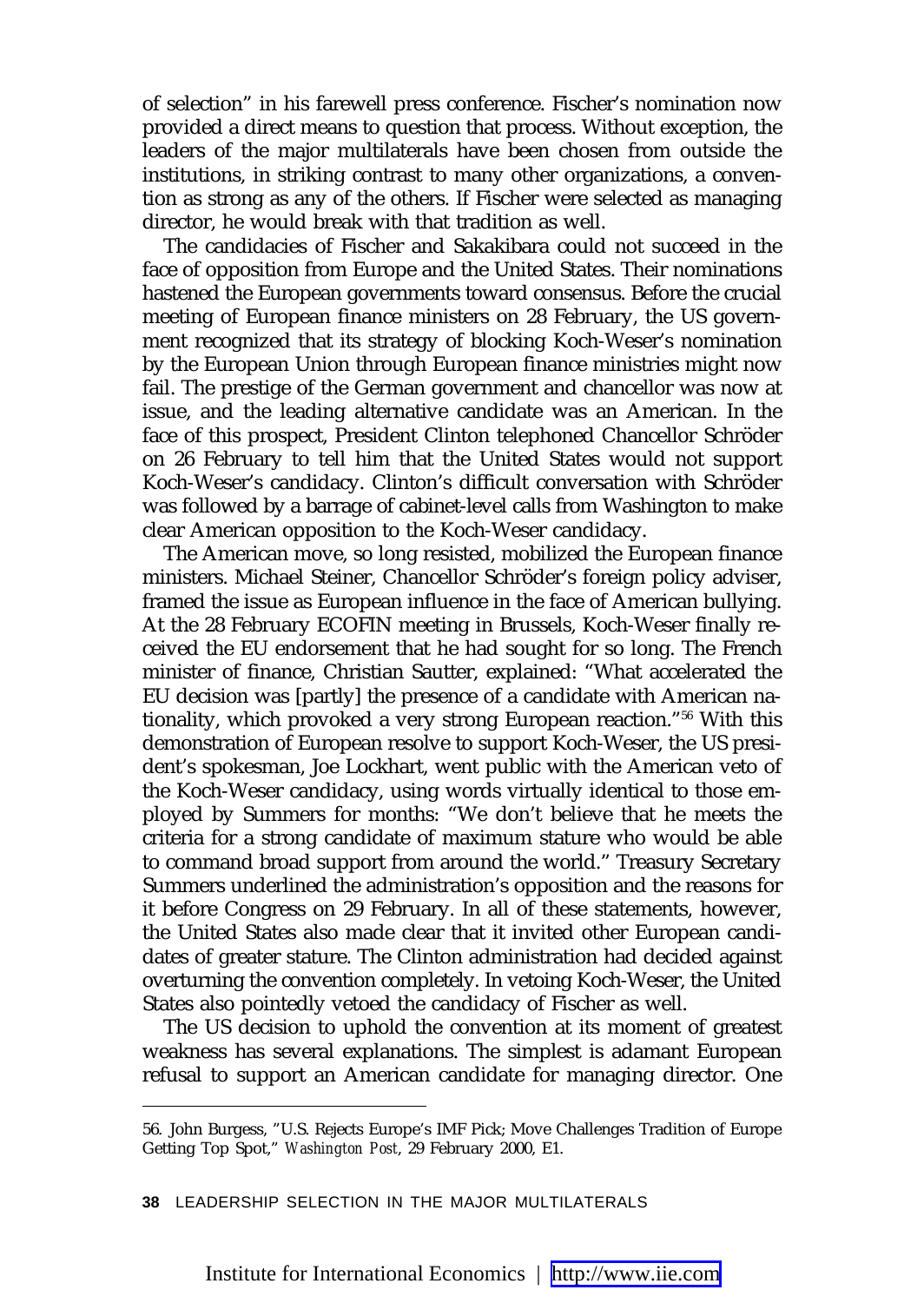of selection" in his farewell press conference. Fischer's nomination now provided a direct means to question that process. Without exception, the leaders of the major multilaterals have been chosen from outside the institutions, in striking contrast to many other organizations, a convention as strong as any of the others. If Fischer were selected as managing director, he would break with that tradition as well.

The candidacies of Fischer and Sakakibara could not succeed in the face of opposition from Europe and the United States. Their nominations hastened the European governments toward consensus. Before the crucial meeting of European finance ministers on 28 February, the US government recognized that its strategy of blocking Koch-Weser's nomination by the European Union through European finance ministries might now fail. The prestige of the German government and chancellor was now at issue, and the leading alternative candidate was an American. In the face of this prospect, President Clinton telephoned Chancellor Schröder on 26 February to tell him that the United States would not support Koch-Weser's candidacy. Clinton's difficult conversation with Schröder was followed by a barrage of cabinet-level calls from Washington to make clear American opposition to the Koch-Weser candidacy.

The American move, so long resisted, mobilized the European finance ministers. Michael Steiner, Chancellor Schröder's foreign policy adviser, framed the issue as European influence in the face of American bullying. At the 28 February ECOFIN meeting in Brussels, Koch-Weser finally received the EU endorsement that he had sought for so long. The French minister of finance, Christian Sautter, explained: "What accelerated the EU decision was [partly] the presence of a candidate with American nationality, which provoked a very strong European reaction."56 With this demonstration of European resolve to support Koch-Weser, the US president's spokesman, Joe Lockhart, went public with the American veto of the Koch-Weser candidacy, using words virtually identical to those employed by Summers for months: "We don't believe that he meets the criteria for a strong candidate of maximum stature who would be able to command broad support from around the world." Treasury Secretary Summers underlined the administration's opposition and the reasons for it before Congress on 29 February. In all of these statements, however, the United States also made clear that it invited other European candidates of greater stature. The Clinton administration had decided against overturning the convention completely. In vetoing Koch-Weser, the United States also pointedly vetoed the candidacy of Fischer as well.

The US decision to uphold the convention at its moment of greatest weakness has several explanations. The simplest is adamant European refusal to support an American candidate for managing director. One

**38** LEADERSHIP SELECTION IN THE MAJOR MULTILATERALS

<sup>56.</sup> John Burgess, "U.S. Rejects Europe's IMF Pick; Move Challenges Tradition of Europe Getting Top Spot," *Washington Post*, 29 February 2000, E1.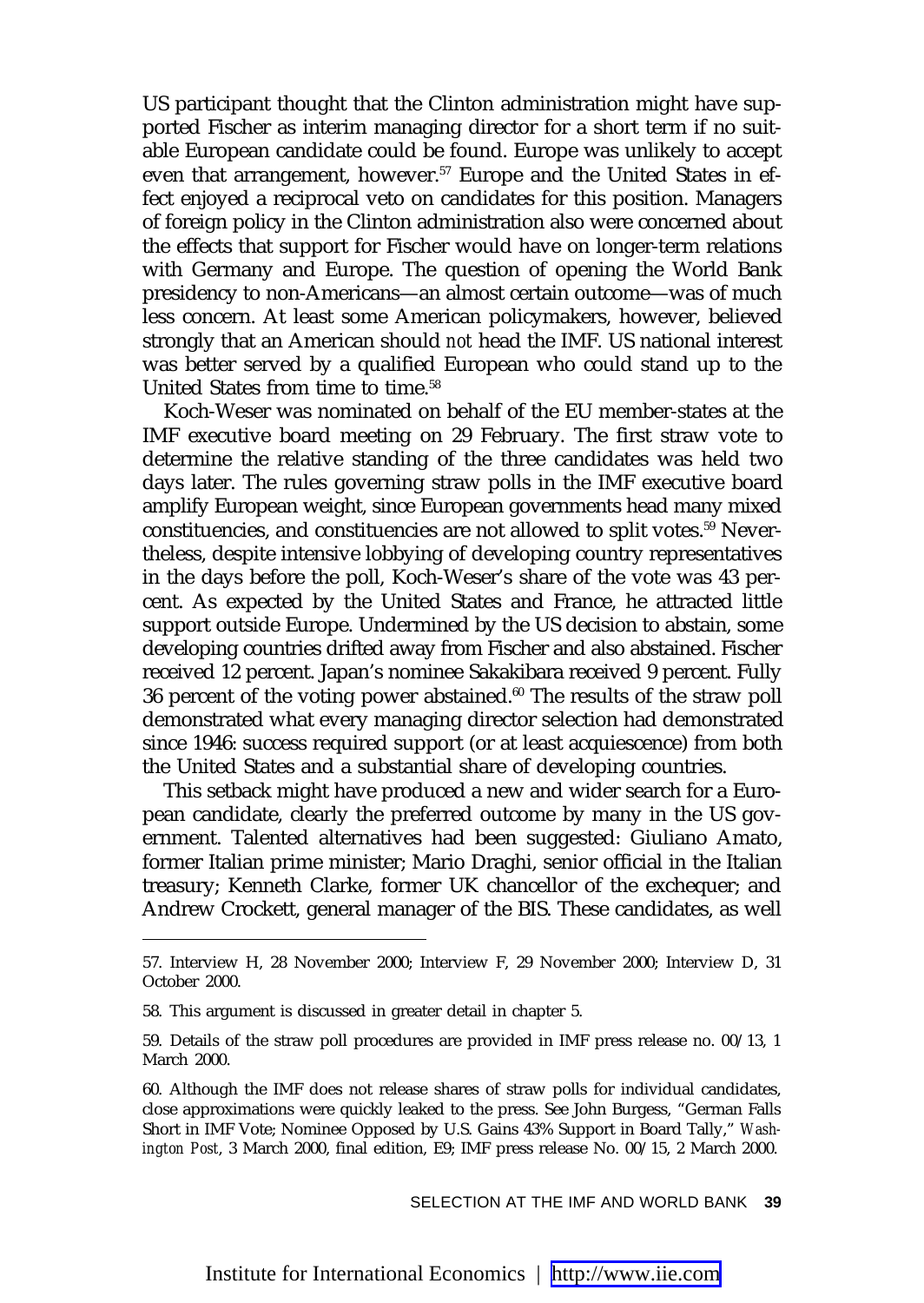US participant thought that the Clinton administration might have supported Fischer as interim managing director for a short term if no suitable European candidate could be found. Europe was unlikely to accept even that arrangement, however.<sup>57</sup> Europe and the United States in effect enjoyed a reciprocal veto on candidates for this position. Managers of foreign policy in the Clinton administration also were concerned about the effects that support for Fischer would have on longer-term relations with Germany and Europe. The question of opening the World Bank presidency to non-Americans—an almost certain outcome—was of much less concern. At least some American policymakers, however, believed strongly that an American should *not* head the IMF. US national interest was better served by a qualified European who could stand up to the United States from time to time.<sup>58</sup>

Koch-Weser was nominated on behalf of the EU member-states at the IMF executive board meeting on 29 February. The first straw vote to determine the relative standing of the three candidates was held two days later. The rules governing straw polls in the IMF executive board amplify European weight, since European governments head many mixed constituencies, and constituencies are not allowed to split votes.59 Nevertheless, despite intensive lobbying of developing country representatives in the days before the poll, Koch-Weser's share of the vote was 43 percent. As expected by the United States and France, he attracted little support outside Europe. Undermined by the US decision to abstain, some developing countries drifted away from Fischer and also abstained. Fischer received 12 percent. Japan's nominee Sakakibara received 9 percent. Fully 36 percent of the voting power abstained. $60$  The results of the straw poll demonstrated what every managing director selection had demonstrated since 1946: success required support (or at least acquiescence) from both the United States and a substantial share of developing countries.

This setback might have produced a new and wider search for a European candidate, clearly the preferred outcome by many in the US government. Talented alternatives had been suggested: Giuliano Amato, former Italian prime minister; Mario Draghi, senior official in the Italian treasury; Kenneth Clarke, former UK chancellor of the exchequer; and Andrew Crockett, general manager of the BIS. These candidates, as well

<sup>57.</sup> Interview H, 28 November 2000; Interview F, 29 November 2000; Interview D, 31 October 2000.

<sup>58.</sup> This argument is discussed in greater detail in chapter 5.

<sup>59.</sup> Details of the straw poll procedures are provided in IMF press release no. 00/13, 1 March 2000.

<sup>60.</sup> Although the IMF does not release shares of straw polls for individual candidates, close approximations were quickly leaked to the press. See John Burgess, "German Falls Short in IMF Vote; Nominee Opposed by U.S. Gains 43% Support in Board Tally," *Washington Post*, 3 March 2000, final edition, E9; IMF press release No. 00/15, 2 March 2000.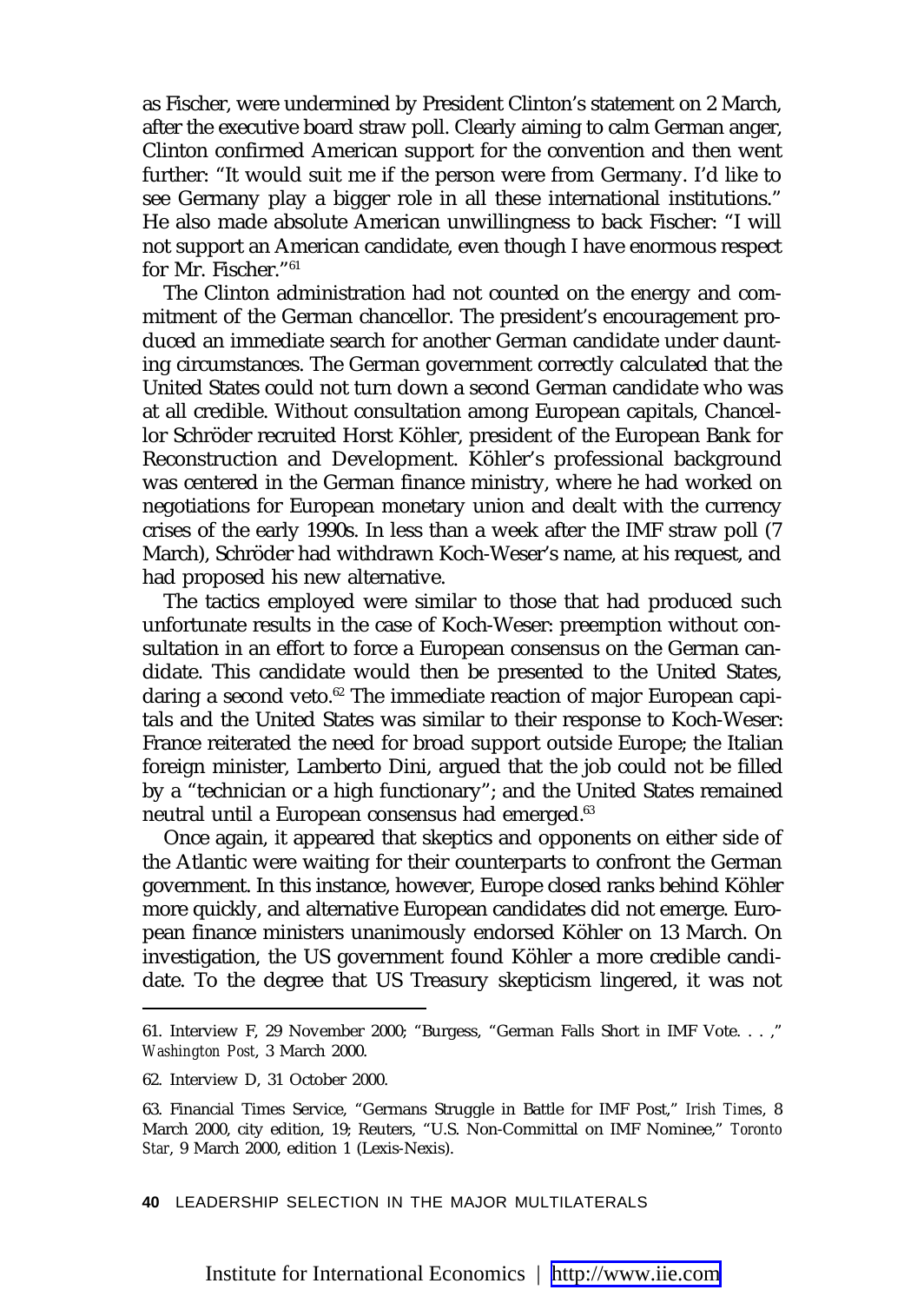as Fischer, were undermined by President Clinton's statement on 2 March, after the executive board straw poll. Clearly aiming to calm German anger, Clinton confirmed American support for the convention and then went further: "It would suit me if the person were from Germany. I'd like to see Germany play a bigger role in all these international institutions." He also made absolute American unwillingness to back Fischer: "I will not support an American candidate, even though I have enormous respect for Mr. Fischer."61

The Clinton administration had not counted on the energy and commitment of the German chancellor. The president's encouragement produced an immediate search for another German candidate under daunting circumstances. The German government correctly calculated that the United States could not turn down a second German candidate who was at all credible. Without consultation among European capitals, Chancellor Schröder recruited Horst Köhler, president of the European Bank for Reconstruction and Development. Köhler's professional background was centered in the German finance ministry, where he had worked on negotiations for European monetary union and dealt with the currency crises of the early 1990s. In less than a week after the IMF straw poll (7 March), Schröder had withdrawn Koch-Weser's name, at his request, and had proposed his new alternative.

The tactics employed were similar to those that had produced such unfortunate results in the case of Koch-Weser: preemption without consultation in an effort to force a European consensus on the German candidate. This candidate would then be presented to the United States, daring a second veto.<sup>62</sup> The immediate reaction of major European capitals and the United States was similar to their response to Koch-Weser: France reiterated the need for broad support outside Europe; the Italian foreign minister, Lamberto Dini, argued that the job could not be filled by a "technician or a high functionary"; and the United States remained neutral until a European consensus had emerged.<sup>63</sup>

Once again, it appeared that skeptics and opponents on either side of the Atlantic were waiting for their counterparts to confront the German government. In this instance, however, Europe closed ranks behind Köhler more quickly, and alternative European candidates did not emerge. European finance ministers unanimously endorsed Köhler on 13 March. On investigation, the US government found Köhler a more credible candidate. To the degree that US Treasury skepticism lingered, it was not

**40** LEADERSHIP SELECTION IN THE MAJOR MULTILATERALS

<sup>61.</sup> Interview F, 29 November 2000; "Burgess, "German Falls Short in IMF Vote. . . ," *Washington Post*, 3 March 2000.

<sup>62.</sup> Interview D, 31 October 2000.

<sup>63.</sup> Financial Times Service, "Germans Struggle in Battle for IMF Post," *Irish Times*, 8 March 2000, city edition, 19; Reuters, "U.S. Non-Committal on IMF Nominee," *Toronto Star*, 9 March 2000, edition 1 (Lexis-Nexis).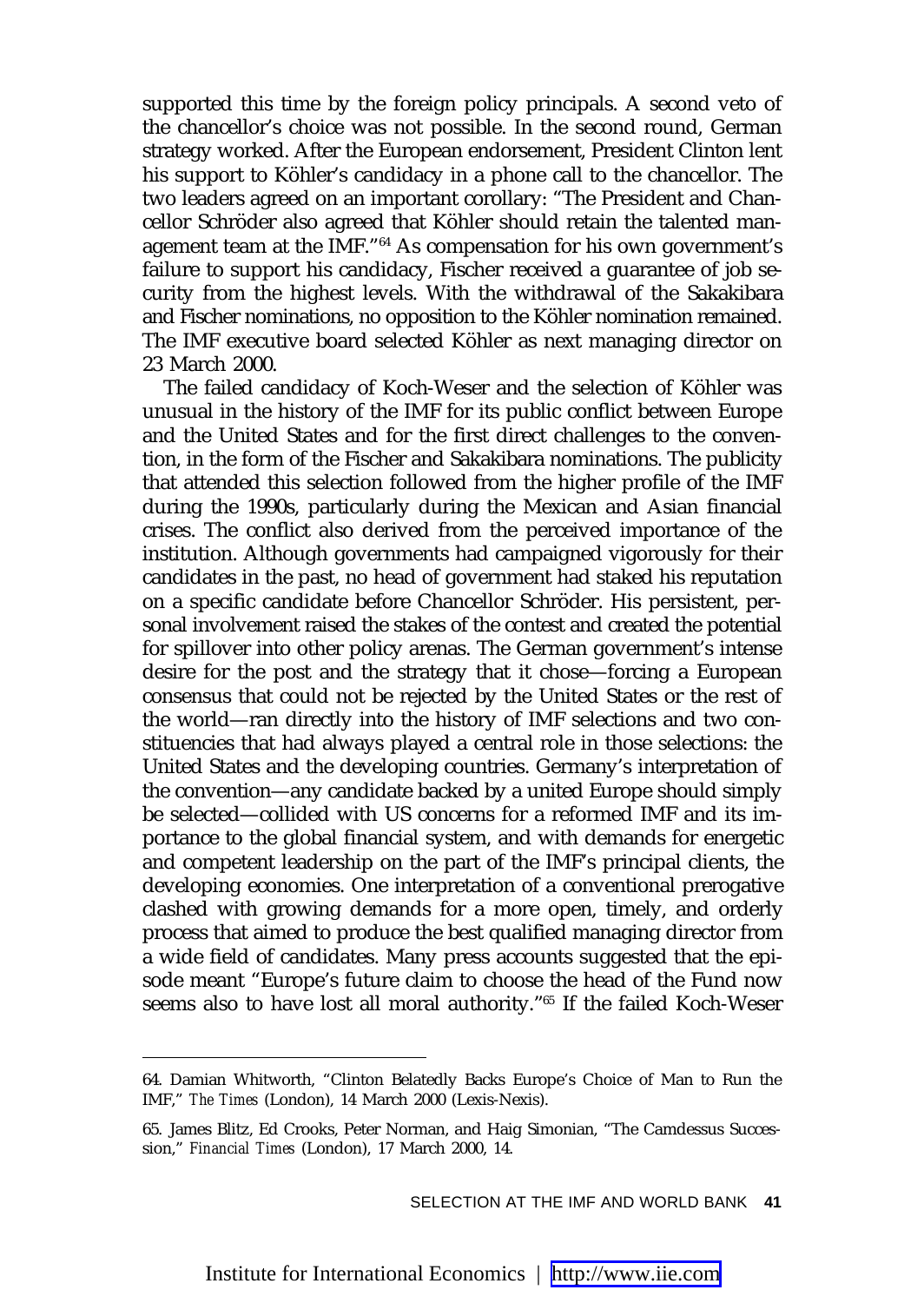supported this time by the foreign policy principals. A second veto of the chancellor's choice was not possible. In the second round, German strategy worked. After the European endorsement, President Clinton lent his support to Köhler's candidacy in a phone call to the chancellor. The two leaders agreed on an important corollary: "The President and Chancellor Schröder also agreed that Köhler should retain the talented management team at the IMF."<sup>64</sup> As compensation for his own government's failure to support his candidacy, Fischer received a guarantee of job security from the highest levels. With the withdrawal of the Sakakibara and Fischer nominations, no opposition to the Köhler nomination remained. The IMF executive board selected Köhler as next managing director on 23 March 2000.

The failed candidacy of Koch-Weser and the selection of Köhler was unusual in the history of the IMF for its public conflict between Europe and the United States and for the first direct challenges to the convention, in the form of the Fischer and Sakakibara nominations. The publicity that attended this selection followed from the higher profile of the IMF during the 1990s, particularly during the Mexican and Asian financial crises. The conflict also derived from the perceived importance of the institution. Although governments had campaigned vigorously for their candidates in the past, no head of government had staked his reputation on a specific candidate before Chancellor Schröder. His persistent, personal involvement raised the stakes of the contest and created the potential for spillover into other policy arenas. The German government's intense desire for the post and the strategy that it chose—forcing a European consensus that could not be rejected by the United States or the rest of the world—ran directly into the history of IMF selections and two constituencies that had always played a central role in those selections: the United States and the developing countries. Germany's interpretation of the convention—any candidate backed by a united Europe should simply be selected—collided with US concerns for a reformed IMF and its importance to the global financial system, and with demands for energetic and competent leadership on the part of the IMF's principal clients, the developing economies. One interpretation of a conventional prerogative clashed with growing demands for a more open, timely, and orderly process that aimed to produce the best qualified managing director from a wide field of candidates. Many press accounts suggested that the episode meant "Europe's future claim to choose the head of the Fund now seems also to have lost all moral authority."<sup>65</sup> If the failed Koch-Weser

<sup>64.</sup> Damian Whitworth, "Clinton Belatedly Backs Europe's Choice of Man to Run the IMF," *The Times* (London), 14 March 2000 (Lexis-Nexis).

<sup>65.</sup> James Blitz, Ed Crooks, Peter Norman, and Haig Simonian, "The Camdessus Succession," *Financial Times* (London), 17 March 2000, 14.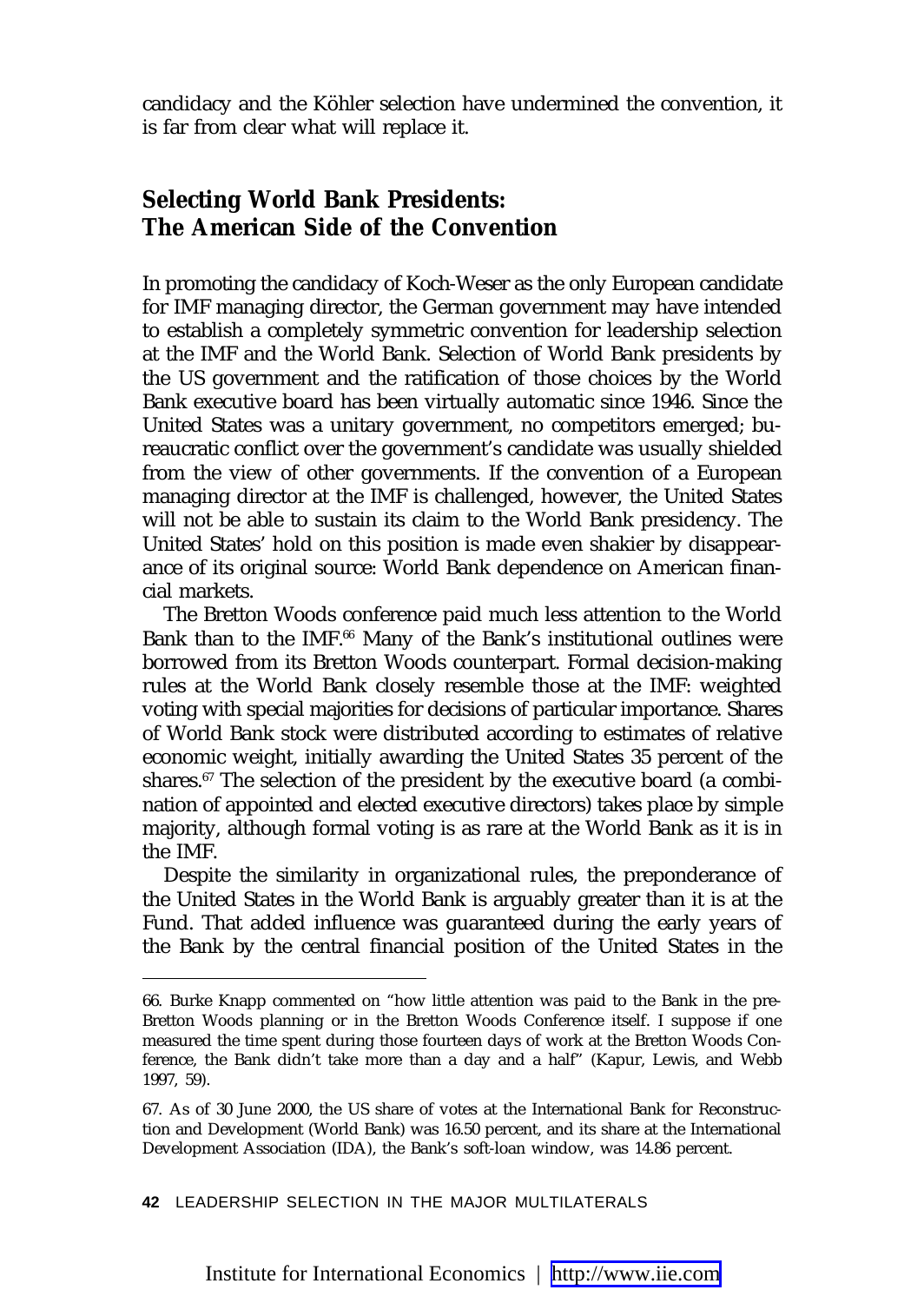candidacy and the Köhler selection have undermined the convention, it is far from clear what will replace it.

### **Selecting World Bank Presidents: The American Side of the Convention**

In promoting the candidacy of Koch-Weser as the only European candidate for IMF managing director, the German government may have intended to establish a completely symmetric convention for leadership selection at the IMF and the World Bank. Selection of World Bank presidents by the US government and the ratification of those choices by the World Bank executive board has been virtually automatic since 1946. Since the United States was a unitary government, no competitors emerged; bureaucratic conflict over the government's candidate was usually shielded from the view of other governments. If the convention of a European managing director at the IMF is challenged, however, the United States will not be able to sustain its claim to the World Bank presidency. The United States' hold on this position is made even shakier by disappearance of its original source: World Bank dependence on American financial markets.

The Bretton Woods conference paid much less attention to the World Bank than to the IMF.<sup>66</sup> Many of the Bank's institutional outlines were borrowed from its Bretton Woods counterpart. Formal decision-making rules at the World Bank closely resemble those at the IMF: weighted voting with special majorities for decisions of particular importance. Shares of World Bank stock were distributed according to estimates of relative economic weight, initially awarding the United States 35 percent of the shares.<sup>67</sup> The selection of the president by the executive board (a combination of appointed and elected executive directors) takes place by simple majority, although formal voting is as rare at the World Bank as it is in the IMF.

Despite the similarity in organizational rules, the preponderance of the United States in the World Bank is arguably greater than it is at the Fund. That added influence was guaranteed during the early years of the Bank by the central financial position of the United States in the

**42** LEADERSHIP SELECTION IN THE MAJOR MULTILATERALS

<sup>66.</sup> Burke Knapp commented on "how little attention was paid to the Bank in the pre-Bretton Woods planning or in the Bretton Woods Conference itself. I suppose if one measured the time spent during those fourteen days of work at the Bretton Woods Conference, the Bank didn't take more than a day and a half" (Kapur, Lewis, and Webb 1997, 59).

<sup>67.</sup> As of 30 June 2000, the US share of votes at the International Bank for Reconstruction and Development (World Bank) was 16.50 percent, and its share at the International Development Association (IDA), the Bank's soft-loan window, was 14.86 percent.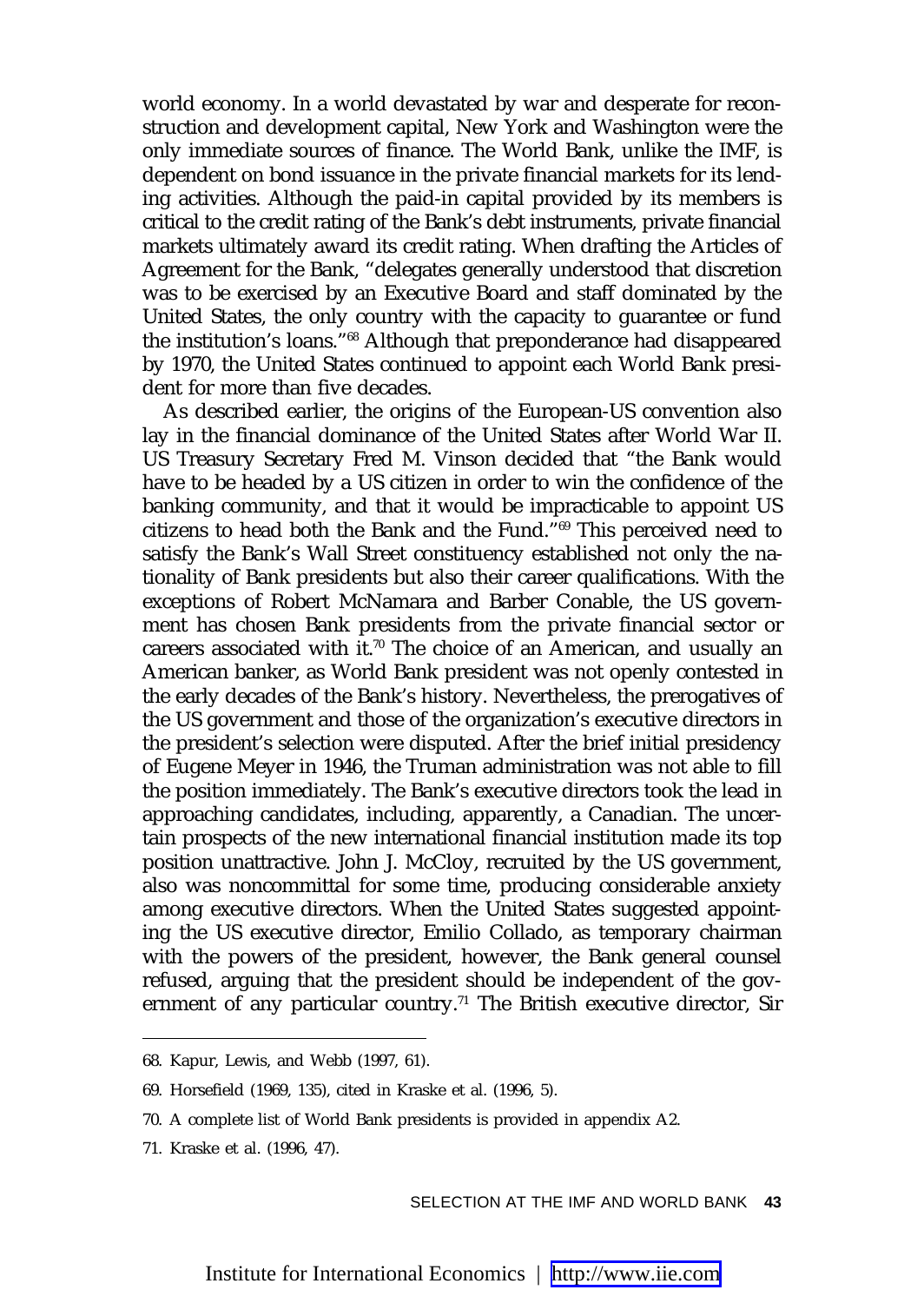world economy. In a world devastated by war and desperate for reconstruction and development capital, New York and Washington were the only immediate sources of finance. The World Bank, unlike the IMF, is dependent on bond issuance in the private financial markets for its lending activities. Although the paid-in capital provided by its members is critical to the credit rating of the Bank's debt instruments, private financial markets ultimately award its credit rating. When drafting the Articles of Agreement for the Bank, "delegates generally understood that discretion was to be exercised by an Executive Board and staff dominated by the United States, the only country with the capacity to guarantee or fund the institution's loans."68 Although that preponderance had disappeared by 1970, the United States continued to appoint each World Bank president for more than five decades.

As described earlier, the origins of the European-US convention also lay in the financial dominance of the United States after World War II. US Treasury Secretary Fred M. Vinson decided that "the Bank would have to be headed by a US citizen in order to win the confidence of the banking community, and that it would be impracticable to appoint US citizens to head both the Bank and the Fund."69 This perceived need to satisfy the Bank's Wall Street constituency established not only the nationality of Bank presidents but also their career qualifications. With the exceptions of Robert McNamara and Barber Conable, the US government has chosen Bank presidents from the private financial sector or careers associated with it.<sup>70</sup> The choice of an American, and usually an American banker, as World Bank president was not openly contested in the early decades of the Bank's history. Nevertheless, the prerogatives of the US government and those of the organization's executive directors in the president's selection were disputed. After the brief initial presidency of Eugene Meyer in 1946, the Truman administration was not able to fill the position immediately. The Bank's executive directors took the lead in approaching candidates, including, apparently, a Canadian. The uncertain prospects of the new international financial institution made its top position unattractive. John J. McCloy, recruited by the US government, also was noncommittal for some time, producing considerable anxiety among executive directors. When the United States suggested appointing the US executive director, Emilio Collado, as temporary chairman with the powers of the president, however, the Bank general counsel refused, arguing that the president should be independent of the government of any particular country.<sup>71</sup> The British executive director, Sir

<sup>68.</sup> Kapur, Lewis, and Webb (1997, 61).

<sup>69.</sup> Horsefield (1969, 135), cited in Kraske et al. (1996, 5).

<sup>70.</sup> A complete list of World Bank presidents is provided in appendix A2.

<sup>71.</sup> Kraske et al. (1996, 47).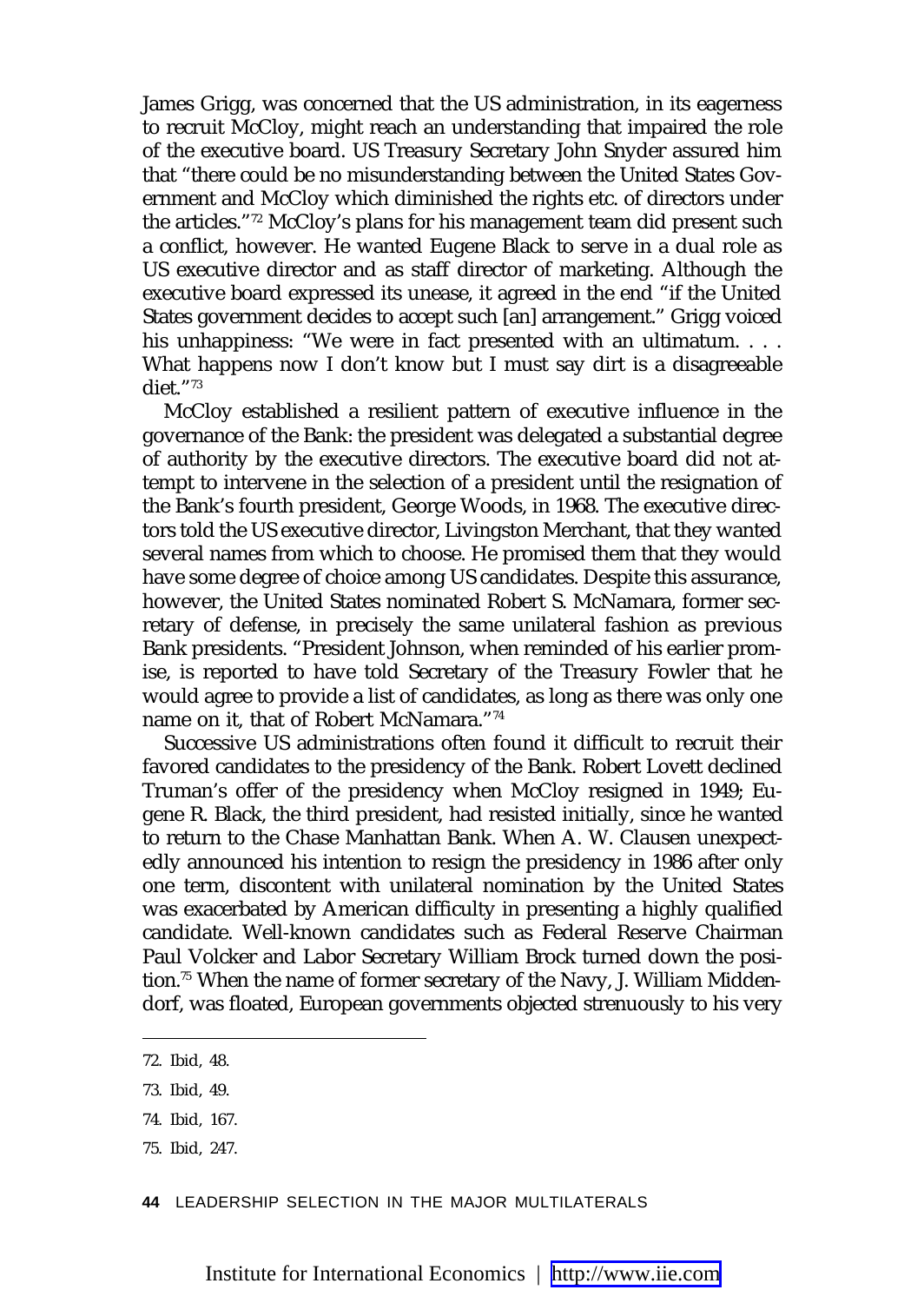James Grigg, was concerned that the US administration, in its eagerness to recruit McCloy, might reach an understanding that impaired the role of the executive board. US Treasury Secretary John Snyder assured him that "there could be no misunderstanding between the United States Government and McCloy which diminished the rights etc. of directors under the articles."72 McCloy's plans for his management team did present such a conflict, however. He wanted Eugene Black to serve in a dual role as US executive director and as staff director of marketing. Although the executive board expressed its unease, it agreed in the end "if the United States government decides to accept such [an] arrangement." Grigg voiced his unhappiness: "We were in fact presented with an ultimatum... What happens now I don't know but I must say dirt is a disagreeable diet."73

McCloy established a resilient pattern of executive influence in the governance of the Bank: the president was delegated a substantial degree of authority by the executive directors. The executive board did not attempt to intervene in the selection of a president until the resignation of the Bank's fourth president, George Woods, in 1968. The executive directors told the US executive director, Livingston Merchant, that they wanted several names from which to choose. He promised them that they would have some degree of choice among US candidates. Despite this assurance, however, the United States nominated Robert S. McNamara, former secretary of defense, in precisely the same unilateral fashion as previous Bank presidents. "President Johnson, when reminded of his earlier promise, is reported to have told Secretary of the Treasury Fowler that he would agree to provide a list of candidates, as long as there was only one name on it, that of Robert McNamara."74

Successive US administrations often found it difficult to recruit their favored candidates to the presidency of the Bank. Robert Lovett declined Truman's offer of the presidency when McCloy resigned in 1949; Eugene R. Black, the third president, had resisted initially, since he wanted to return to the Chase Manhattan Bank. When A. W. Clausen unexpectedly announced his intention to resign the presidency in 1986 after only one term, discontent with unilateral nomination by the United States was exacerbated by American difficulty in presenting a highly qualified candidate. Well-known candidates such as Federal Reserve Chairman Paul Volcker and Labor Secretary William Brock turned down the position.75 When the name of former secretary of the Navy, J. William Middendorf, was floated, European governments objected strenuously to his very

**44** LEADERSHIP SELECTION IN THE MAJOR MULTILATERALS

<sup>72.</sup> Ibid, 48.

<sup>73.</sup> Ibid, 49.

<sup>74.</sup> Ibid, 167.

<sup>75.</sup> Ibid, 247.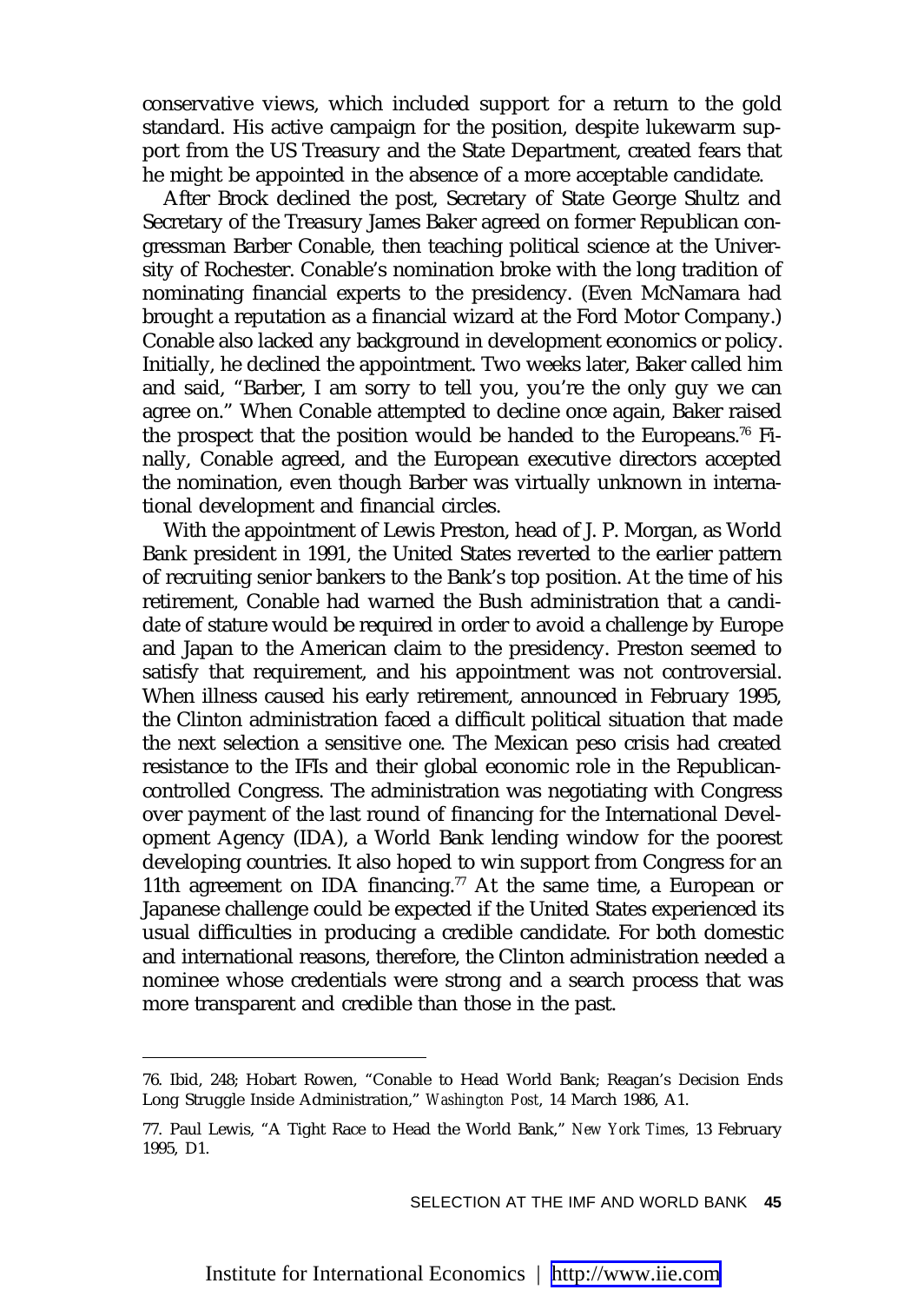conservative views, which included support for a return to the gold standard. His active campaign for the position, despite lukewarm support from the US Treasury and the State Department, created fears that he might be appointed in the absence of a more acceptable candidate.

After Brock declined the post, Secretary of State George Shultz and Secretary of the Treasury James Baker agreed on former Republican congressman Barber Conable, then teaching political science at the University of Rochester. Conable's nomination broke with the long tradition of nominating financial experts to the presidency. (Even McNamara had brought a reputation as a financial wizard at the Ford Motor Company.) Conable also lacked any background in development economics or policy. Initially, he declined the appointment. Two weeks later, Baker called him and said, "Barber, I am sorry to tell you, you're the only guy we can agree on." When Conable attempted to decline once again, Baker raised the prospect that the position would be handed to the Europeans.76 Finally, Conable agreed, and the European executive directors accepted the nomination, even though Barber was virtually unknown in international development and financial circles.

With the appointment of Lewis Preston, head of J. P. Morgan, as World Bank president in 1991, the United States reverted to the earlier pattern of recruiting senior bankers to the Bank's top position. At the time of his retirement, Conable had warned the Bush administration that a candidate of stature would be required in order to avoid a challenge by Europe and Japan to the American claim to the presidency. Preston seemed to satisfy that requirement, and his appointment was not controversial. When illness caused his early retirement, announced in February 1995, the Clinton administration faced a difficult political situation that made the next selection a sensitive one. The Mexican peso crisis had created resistance to the IFIs and their global economic role in the Republicancontrolled Congress. The administration was negotiating with Congress over payment of the last round of financing for the International Development Agency (IDA), a World Bank lending window for the poorest developing countries. It also hoped to win support from Congress for an 11th agreement on IDA financing.<sup>77</sup> At the same time, a European or Japanese challenge could be expected if the United States experienced its usual difficulties in producing a credible candidate. For both domestic and international reasons, therefore, the Clinton administration needed a nominee whose credentials were strong and a search process that was more transparent and credible than those in the past.

<sup>76.</sup> Ibid, 248; Hobart Rowen, "Conable to Head World Bank; Reagan's Decision Ends Long Struggle Inside Administration," *Washington Post*, 14 March 1986, A1.

<sup>77.</sup> Paul Lewis, "A Tight Race to Head the World Bank," *New York Times*, 13 February 1995, D1.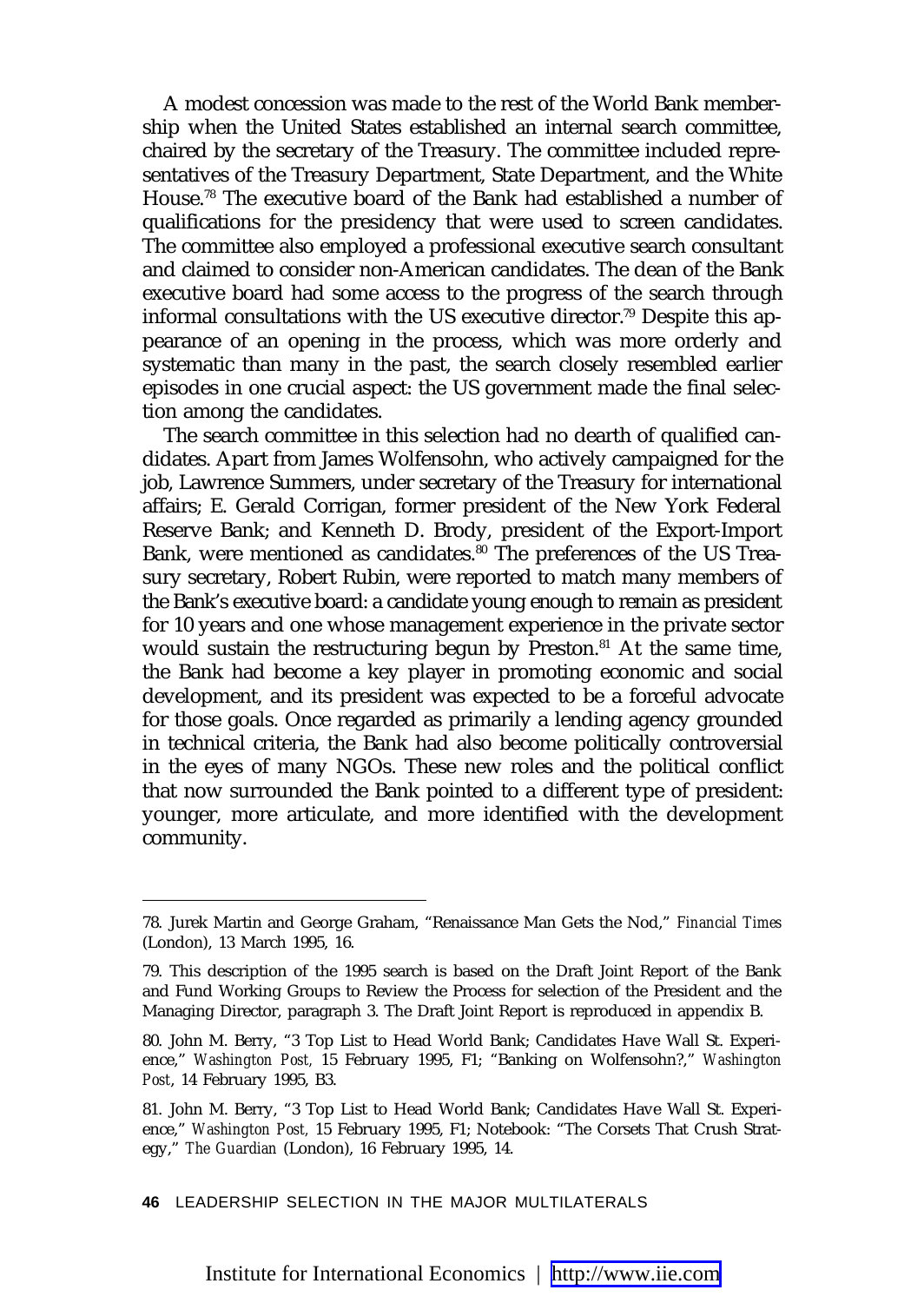A modest concession was made to the rest of the World Bank membership when the United States established an internal search committee, chaired by the secretary of the Treasury. The committee included representatives of the Treasury Department, State Department, and the White House.78 The executive board of the Bank had established a number of qualifications for the presidency that were used to screen candidates. The committee also employed a professional executive search consultant and claimed to consider non-American candidates. The dean of the Bank executive board had some access to the progress of the search through informal consultations with the US executive director.79 Despite this appearance of an opening in the process, which was more orderly and systematic than many in the past, the search closely resembled earlier episodes in one crucial aspect: the US government made the final selection among the candidates.

The search committee in this selection had no dearth of qualified candidates. Apart from James Wolfensohn, who actively campaigned for the job, Lawrence Summers, under secretary of the Treasury for international affairs; E. Gerald Corrigan, former president of the New York Federal Reserve Bank; and Kenneth D. Brody, president of the Export-Import Bank, were mentioned as candidates.<sup>80</sup> The preferences of the US Treasury secretary, Robert Rubin, were reported to match many members of the Bank's executive board: a candidate young enough to remain as president for 10 years and one whose management experience in the private sector would sustain the restructuring begun by Preston.<sup>81</sup> At the same time, the Bank had become a key player in promoting economic and social development, and its president was expected to be a forceful advocate for those goals. Once regarded as primarily a lending agency grounded in technical criteria, the Bank had also become politically controversial in the eyes of many NGOs. These new roles and the political conflict that now surrounded the Bank pointed to a different type of president: younger, more articulate, and more identified with the development community.

**46** LEADERSHIP SELECTION IN THE MAJOR MULTILATERALS

<sup>78.</sup> Jurek Martin and George Graham, "Renaissance Man Gets the Nod," *Financial Times* (London), 13 March 1995, 16.

<sup>79.</sup> This description of the 1995 search is based on the Draft Joint Report of the Bank and Fund Working Groups to Review the Process for selection of the President and the Managing Director, paragraph 3. The Draft Joint Report is reproduced in appendix B.

<sup>80.</sup> John M. Berry, "3 Top List to Head World Bank; Candidates Have Wall St. Experience," *Washington Post,* 15 February 1995, F1; "Banking on Wolfensohn?," *Washington Post*, 14 February 1995, B3.

<sup>81.</sup> John M. Berry, "3 Top List to Head World Bank; Candidates Have Wall St. Experience," *Washington Post,* 15 February 1995, F1; Notebook: "The Corsets That Crush Strategy," *The Guardian* (London), 16 February 1995, 14.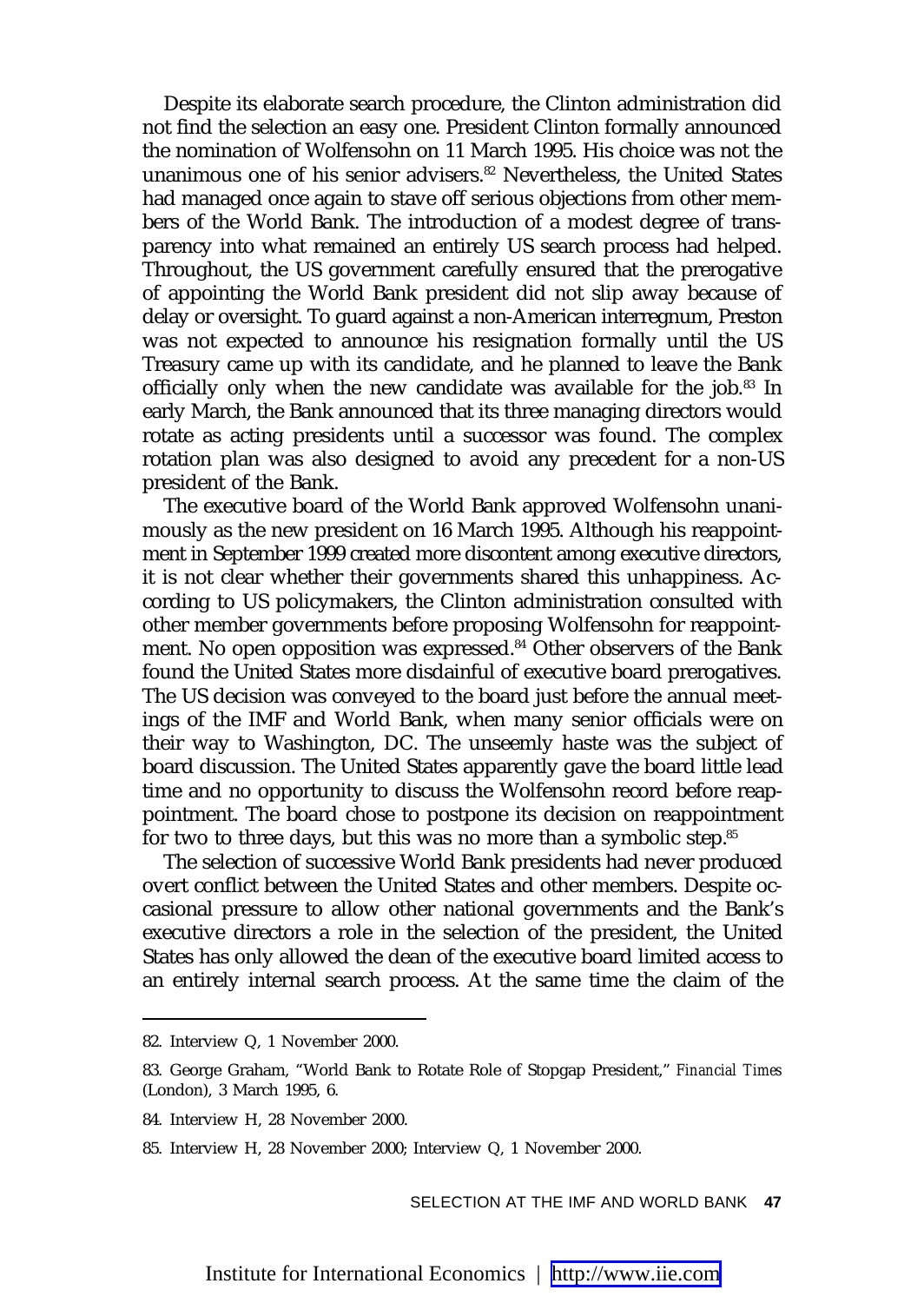Despite its elaborate search procedure, the Clinton administration did not find the selection an easy one. President Clinton formally announced the nomination of Wolfensohn on 11 March 1995. His choice was not the unanimous one of his senior advisers.<sup>82</sup> Nevertheless, the United States had managed once again to stave off serious objections from other members of the World Bank. The introduction of a modest degree of transparency into what remained an entirely US search process had helped. Throughout, the US government carefully ensured that the prerogative of appointing the World Bank president did not slip away because of delay or oversight. To guard against a non-American interregnum, Preston was not expected to announce his resignation formally until the US Treasury came up with its candidate, and he planned to leave the Bank officially only when the new candidate was available for the job.<sup>83</sup> In early March, the Bank announced that its three managing directors would rotate as acting presidents until a successor was found. The complex rotation plan was also designed to avoid any precedent for a non-US president of the Bank.

The executive board of the World Bank approved Wolfensohn unanimously as the new president on 16 March 1995. Although his reappointment in September 1999 created more discontent among executive directors, it is not clear whether their governments shared this unhappiness. According to US policymakers, the Clinton administration consulted with other member governments before proposing Wolfensohn for reappointment. No open opposition was expressed.<sup>84</sup> Other observers of the Bank found the United States more disdainful of executive board prerogatives. The US decision was conveyed to the board just before the annual meetings of the IMF and World Bank, when many senior officials were on their way to Washington, DC. The unseemly haste was the subject of board discussion. The United States apparently gave the board little lead time and no opportunity to discuss the Wolfensohn record before reappointment. The board chose to postpone its decision on reappointment for two to three days, but this was no more than a symbolic step.<sup>85</sup>

The selection of successive World Bank presidents had never produced overt conflict between the United States and other members. Despite occasional pressure to allow other national governments and the Bank's executive directors a role in the selection of the president, the United States has only allowed the dean of the executive board limited access to an entirely internal search process. At the same time the claim of the

<sup>82.</sup> Interview Q, 1 November 2000.

<sup>83.</sup> George Graham, "World Bank to Rotate Role of Stopgap President," *Financial Times* (London), 3 March 1995, 6.

<sup>84.</sup> Interview H, 28 November 2000.

<sup>85.</sup> Interview H, 28 November 2000; Interview Q, 1 November 2000.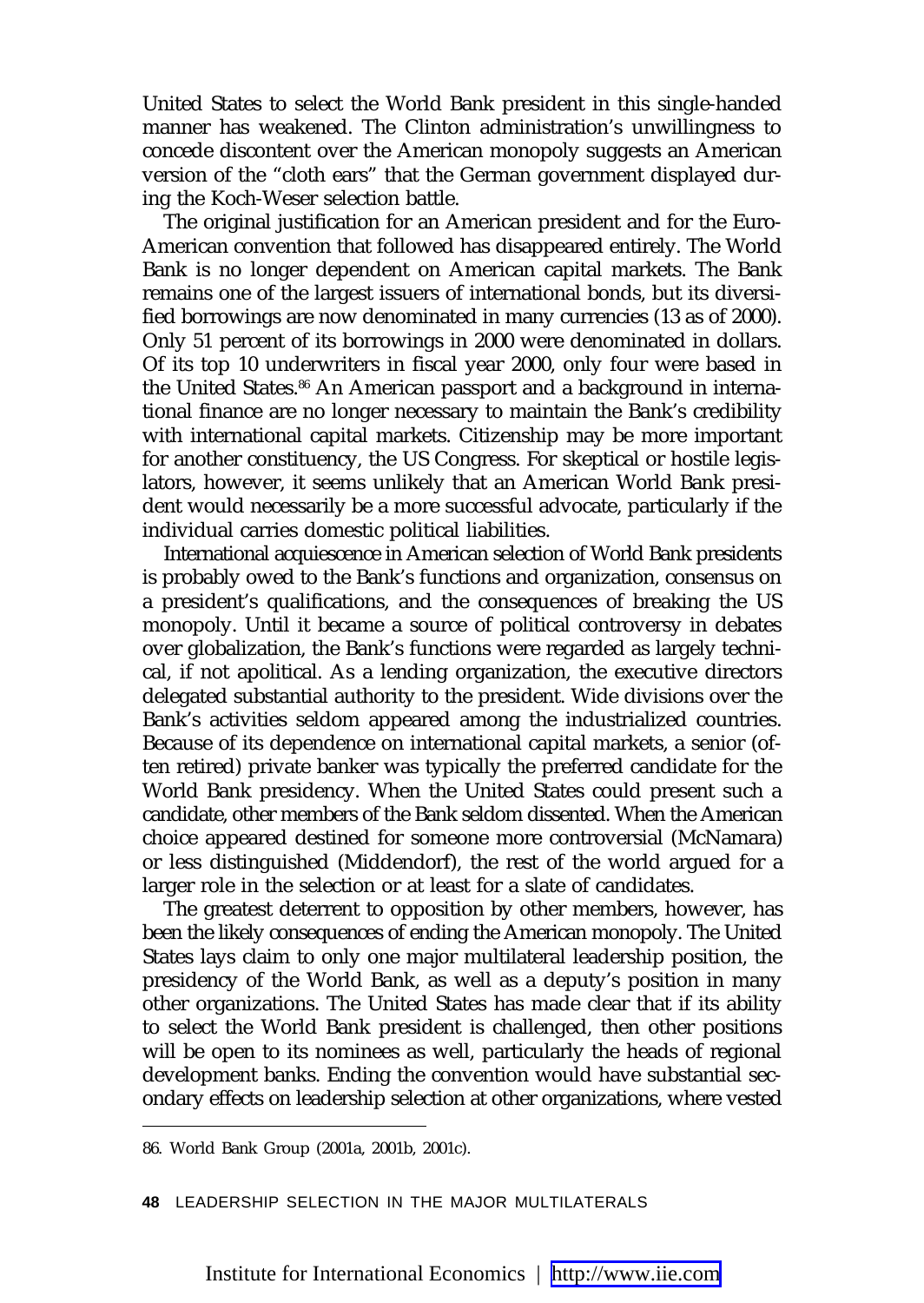United States to select the World Bank president in this single-handed manner has weakened. The Clinton administration's unwillingness to concede discontent over the American monopoly suggests an American version of the "cloth ears" that the German government displayed during the Koch-Weser selection battle.

The original justification for an American president and for the Euro-American convention that followed has disappeared entirely. The World Bank is no longer dependent on American capital markets. The Bank remains one of the largest issuers of international bonds, but its diversified borrowings are now denominated in many currencies (13 as of 2000). Only 51 percent of its borrowings in 2000 were denominated in dollars. Of its top 10 underwriters in fiscal year 2000, only four were based in the United States.<sup>86</sup> An American passport and a background in international finance are no longer necessary to maintain the Bank's credibility with international capital markets. Citizenship may be more important for another constituency, the US Congress. For skeptical or hostile legislators, however, it seems unlikely that an American World Bank president would necessarily be a more successful advocate, particularly if the individual carries domestic political liabilities.

International acquiescence in American selection of World Bank presidents is probably owed to the Bank's functions and organization, consensus on a president's qualifications, and the consequences of breaking the US monopoly. Until it became a source of political controversy in debates over globalization, the Bank's functions were regarded as largely technical, if not apolitical. As a lending organization, the executive directors delegated substantial authority to the president. Wide divisions over the Bank's activities seldom appeared among the industrialized countries. Because of its dependence on international capital markets, a senior (often retired) private banker was typically the preferred candidate for the World Bank presidency. When the United States could present such a candidate, other members of the Bank seldom dissented. When the American choice appeared destined for someone more controversial (McNamara) or less distinguished (Middendorf), the rest of the world argued for a larger role in the selection or at least for a slate of candidates.

The greatest deterrent to opposition by other members, however, has been the likely consequences of ending the American monopoly. The United States lays claim to only one major multilateral leadership position, the presidency of the World Bank, as well as a deputy's position in many other organizations. The United States has made clear that if its ability to select the World Bank president is challenged, then other positions will be open to its nominees as well, particularly the heads of regional development banks. Ending the convention would have substantial secondary effects on leadership selection at other organizations, where vested

<sup>86.</sup> World Bank Group (2001a, 2001b, 2001c).

**<sup>48</sup>** LEADERSHIP SELECTION IN THE MAJOR MULTILATERALS